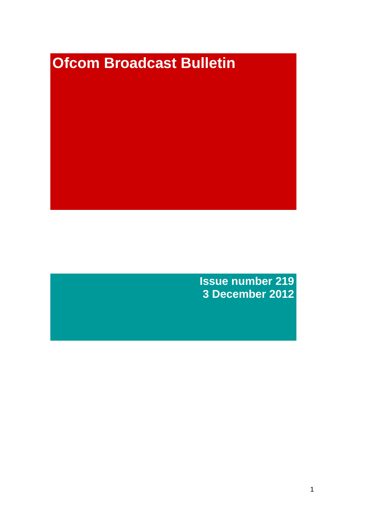# **Ofcom Broadcast Bulletin**

**Issue number 219 3 December 2012**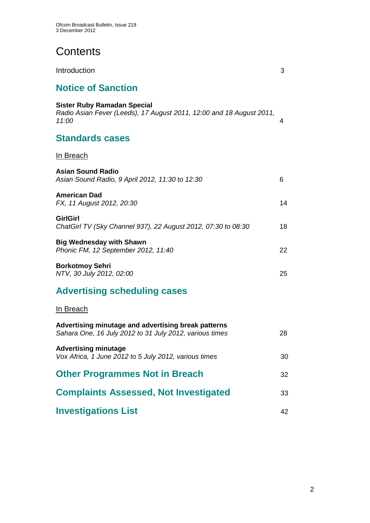# **Contents**

| Introduction                                                                                                        | 3  |
|---------------------------------------------------------------------------------------------------------------------|----|
| <b>Notice of Sanction</b>                                                                                           |    |
| <b>Sister Ruby Ramadan Special</b><br>Radio Asian Fever (Leeds), 17 August 2011, 12:00 and 18 August 2011,<br>11:00 | 4  |
| <b>Standards cases</b>                                                                                              |    |
| <u>In Breach</u>                                                                                                    |    |
| <b>Asian Sound Radio</b><br>Asian Sound Radio, 9 April 2012, 11:30 to 12:30                                         | 6  |
| <b>American Dad</b><br>FX, 11 August 2012, 20:30                                                                    | 14 |
| <b>GirlGirl</b><br>ChatGirl TV (Sky Channel 937), 22 August 2012, 07:30 to 08:30                                    | 18 |
| <b>Big Wednesday with Shawn</b><br>Phonic FM, 12 September 2012, 11:40                                              | 22 |
| <b>Borkotmoy Sehri</b><br>NTV, 30 July 2012, 02:00                                                                  | 25 |
| <b>Advertising scheduling cases</b>                                                                                 |    |
| In Breach                                                                                                           |    |
| Advertising minutage and advertising break patterns<br>Sahara One, 16 July 2012 to 31 July 2012, various times      | 28 |
| <b>Advertising minutage</b><br>Vox Africa, 1 June 2012 to 5 July 2012, various times                                | 30 |
| <b>Other Programmes Not in Breach</b>                                                                               | 32 |
| <b>Complaints Assessed, Not Investigated</b>                                                                        | 33 |
| <b>Investigations List</b>                                                                                          | 42 |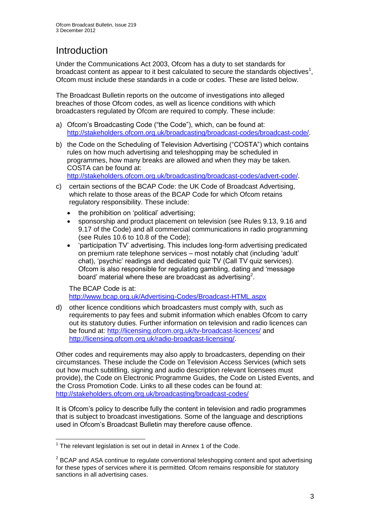# **Introduction**

Under the Communications Act 2003, Ofcom has a duty to set standards for broadcast content as appear to it best calculated to secure the standards objectives<sup>1</sup>, Ofcom must include these standards in a code or codes. These are listed below.

The Broadcast Bulletin reports on the outcome of investigations into alleged breaches of those Ofcom codes, as well as licence conditions with which broadcasters regulated by Ofcom are required to comply. These include:

- a) Ofcom's Broadcasting Code ("the Code"), which, can be found at: [http://stakeholders.ofcom.org.uk/broadcasting/broadcast-codes/broadcast-code/.](http://stakeholders.ofcom.org.uk/broadcasting/broadcast-codes/broadcast-code/)
- b) the Code on the Scheduling of Television Advertising ("COSTA") which contains rules on how much advertising and teleshopping may be scheduled in programmes, how many breaks are allowed and when they may be taken. COSTA can be found at:

[http://stakeholders.ofcom.org.uk/broadcasting/broadcast-codes/advert-code/.](http://stakeholders.ofcom.org.uk/broadcasting/broadcast-codes/advert-code/)

- c) certain sections of the BCAP Code: the UK Code of Broadcast Advertising, which relate to those areas of the BCAP Code for which Ofcom retains regulatory responsibility. These include:
	- the prohibition on 'political' advertising;
	- sponsorship and product placement on television (see Rules 9.13, 9.16 and 9.17 of the Code) and all commercial communications in radio programming (see Rules 10.6 to 10.8 of the Code);
	- 'participation TV' advertising. This includes long-form advertising predicated on premium rate telephone services – most notably chat (including 'adult' chat), 'psychic' readings and dedicated quiz TV (Call TV quiz services). Ofcom is also responsible for regulating gambling, dating and 'message board' material where these are broadcast as advertising<sup>2</sup>.

The BCAP Code is at: <http://www.bcap.org.uk/Advertising-Codes/Broadcast-HTML.aspx>

d) other licence conditions which broadcasters must comply with, such as requirements to pay fees and submit information which enables Ofcom to carry out its statutory duties. Further information on television and radio licences can be found at:<http://licensing.ofcom.org.uk/tv-broadcast-licences/> and [http://licensing.ofcom.org.uk/radio-broadcast-licensing/.](http://licensing.ofcom.org.uk/radio-broadcast-licensing/)

Other codes and requirements may also apply to broadcasters, depending on their circumstances. These include the Code on Television Access Services (which sets out how much subtitling, signing and audio description relevant licensees must provide), the Code on Electronic Programme Guides, the Code on Listed Events, and the Cross Promotion Code. Links to all these codes can be found at: <http://stakeholders.ofcom.org.uk/broadcasting/broadcast-codes/>

It is Ofcom's policy to describe fully the content in television and radio programmes that is subject to broadcast investigations. Some of the language and descriptions used in Ofcom's Broadcast Bulletin may therefore cause offence.

<sup>1</sup>  $1$  The relevant legislation is set out in detail in Annex 1 of the Code.

 $2$  BCAP and ASA continue to regulate conventional teleshopping content and spot advertising for these types of services where it is permitted. Ofcom remains responsible for statutory sanctions in all advertising cases.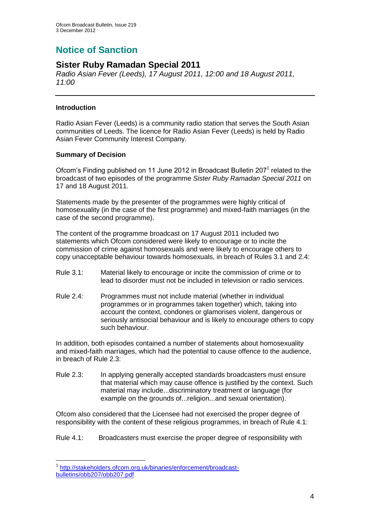# **Notice of Sanction**

## **Sister Ruby Ramadan Special 2011**

*Radio Asian Fever (Leeds), 17 August 2011, 12:00 and 18 August 2011, 11:00*

## **Introduction**

1

Radio Asian Fever (Leeds) is a community radio station that serves the South Asian communities of Leeds. The licence for Radio Asian Fever (Leeds) is held by Radio Asian Fever Community Interest Company.

## **Summary of Decision**

Ofcom's Finding published on 11 June 2012 in Broadcast Bulletin 207<sup>1</sup> related to the broadcast of two episodes of the programme *Sister Ruby Ramadan Special 2011* on 17 and 18 August 2011.

Statements made by the presenter of the programmes were highly critical of homosexuality (in the case of the first programme) and mixed-faith marriages (in the case of the second programme).

The content of the programme broadcast on 17 August 2011 included two statements which Ofcom considered were likely to encourage or to incite the commission of crime against homosexuals and were likely to encourage others to copy unacceptable behaviour towards homosexuals, in breach of Rules 3.1 and 2.4:

- Rule 3.1: Material likely to encourage or incite the commission of crime or to lead to disorder must not be included in television or radio services.
- Rule 2.4: Programmes must not include material (whether in individual programmes or in programmes taken together) which, taking into account the context, condones or glamorises violent, dangerous or seriously antisocial behaviour and is likely to encourage others to copy such behaviour.

In addition, both episodes contained a number of statements about homosexuality and mixed-faith marriages, which had the potential to cause offence to the audience, in breach of Rule 2.3:

Rule 2.3: In applying generally accepted standards broadcasters must ensure that material which may cause offence is justified by the context. Such material may include...discriminatory treatment or language (for example on the grounds of...religion...and sexual orientation).

Ofcom also considered that the Licensee had not exercised the proper degree of responsibility with the content of these religious programmes, in breach of Rule 4.1:

Rule 4.1: Broadcasters must exercise the proper degree of responsibility with

<sup>1</sup> [http://stakeholders.ofcom.org.uk/binaries/enforcement/broadcast](http://stakeholders.ofcom.org.uk/binaries/enforcement/broadcast-bulletins/obb207/obb207.pdf)[bulletins/obb207/obb207.pdf](http://stakeholders.ofcom.org.uk/binaries/enforcement/broadcast-bulletins/obb207/obb207.pdf)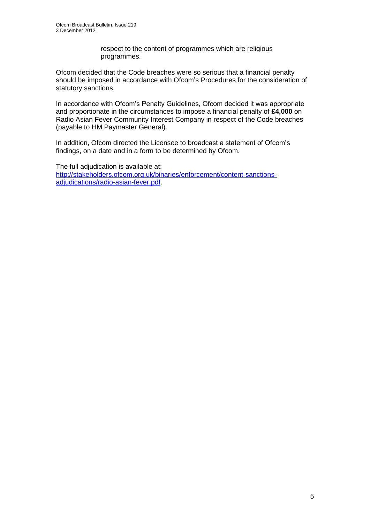respect to the content of programmes which are religious programmes.

Ofcom decided that the Code breaches were so serious that a financial penalty should be imposed in accordance with Ofcom's Procedures for the consideration of statutory sanctions.

In accordance with Ofcom's Penalty Guidelines, Ofcom decided it was appropriate and proportionate in the circumstances to impose a financial penalty of **£4,000** on Radio Asian Fever Community Interest Company in respect of the Code breaches (payable to HM Paymaster General).

In addition, Ofcom directed the Licensee to broadcast a statement of Ofcom's findings, on a date and in a form to be determined by Ofcom.

The full adjudication is available at: [http://stakeholders.ofcom.org.uk/binaries/enforcement/content-sanctions](http://stakeholders.ofcom.org.uk/binaries/enforcement/content-sanctions-adjudications/radio-asian-fever.pdf)[adjudications/radio-asian-fever.pdf.](http://stakeholders.ofcom.org.uk/binaries/enforcement/content-sanctions-adjudications/radio-asian-fever.pdf)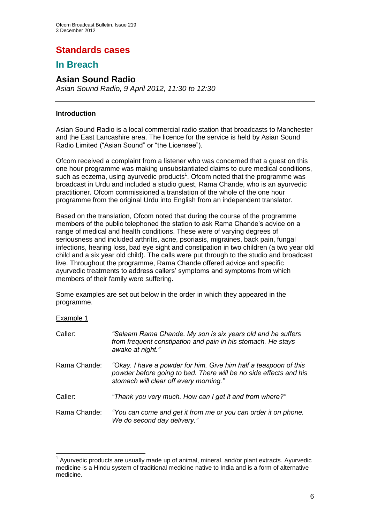## **Standards cases**

## **In Breach**

## **Asian Sound Radio**

*Asian Sound Radio, 9 April 2012, 11:30 to 12:30*

## **Introduction**

Asian Sound Radio is a local commercial radio station that broadcasts to Manchester and the East Lancashire area. The licence for the service is held by Asian Sound Radio Limited ("Asian Sound" or "the Licensee").

Ofcom received a complaint from a listener who was concerned that a guest on this one hour programme was making unsubstantiated claims to cure medical conditions, such as eczema, using ayurvedic products<sup>1</sup>. Ofcom noted that the programme was broadcast in Urdu and included a studio guest, Rama Chande, who is an ayurvedic practitioner. Ofcom commissioned a translation of the whole of the one hour programme from the original Urdu into English from an independent translator.

Based on the translation, Ofcom noted that during the course of the programme members of the public telephoned the station to ask Rama Chande's advice on a range of medical and health conditions. These were of varying degrees of seriousness and included arthritis, acne, psoriasis, migraines, back pain, fungal infections, hearing loss, bad eye sight and constipation in two children (a two year old child and a six year old child). The calls were put through to the studio and broadcast live. Throughout the programme, Rama Chande offered advice and specific ayurvedic treatments to address callers' symptoms and symptoms from which members of their family were suffering.

Some examples are set out below in the order in which they appeared in the programme.

#### Example 1

1

| Caller:      | "Salaam Rama Chande. My son is six years old and he suffers<br>from frequent constipation and pain in his stomach. He stays<br>awake at night."                                 |
|--------------|---------------------------------------------------------------------------------------------------------------------------------------------------------------------------------|
| Rama Chande: | "Okay. I have a powder for him. Give him half a teaspoon of this<br>powder before going to bed. There will be no side effects and his<br>stomach will clear off every morning." |
| Caller:      | "Thank you very much. How can I get it and from where?"                                                                                                                         |
| Rama Chande: | "You can come and get it from me or you can order it on phone.<br>We do second day delivery."                                                                                   |

 $1$  Ayurvedic products are usually made up of animal, mineral, and/or plant extracts. Ayurvedic medicine is a Hindu system of traditional medicine native to India and is a form of alternative medicine.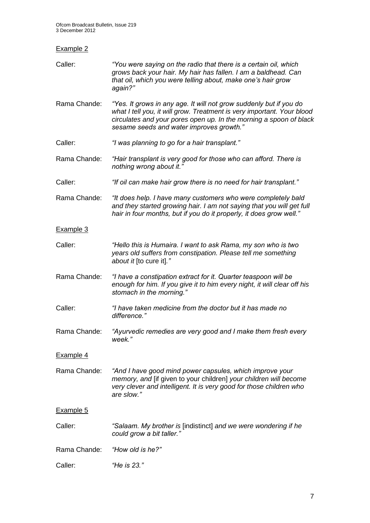| <b>Example 2</b> |                                                                                                                                                                                                                                                                |
|------------------|----------------------------------------------------------------------------------------------------------------------------------------------------------------------------------------------------------------------------------------------------------------|
| Caller:          | "You were saying on the radio that there is a certain oil, which<br>grows back your hair. My hair has fallen. I am a baldhead. Can<br>that oil, which you were telling about, make one's hair grow<br>again?"                                                  |
| Rama Chande:     | "Yes. It grows in any age. It will not grow suddenly but if you do<br>what I tell you, it will grow. Treatment is very important. Your blood<br>circulates and your pores open up. In the morning a spoon of black<br>sesame seeds and water improves growth." |
| Caller:          | "I was planning to go for a hair transplant."                                                                                                                                                                                                                  |
| Rama Chande:     | "Hair transplant is very good for those who can afford. There is<br>nothing wrong about it."                                                                                                                                                                   |
| Caller:          | "If oil can make hair grow there is no need for hair transplant."                                                                                                                                                                                              |
| Rama Chande:     | "It does help. I have many customers who were completely bald<br>and they started growing hair. I am not saying that you will get full<br>hair in four months, but if you do it properly, it does grow well."                                                  |
| Example 3        |                                                                                                                                                                                                                                                                |
| Caller:          | "Hello this is Humaira. I want to ask Rama, my son who is two<br>years old suffers from constipation. Please tell me something<br>about it [to cure it]."                                                                                                      |
| Rama Chande:     | "I have a constipation extract for it. Quarter teaspoon will be<br>enough for him. If you give it to him every night, it will clear off his<br>stomach in the morning."                                                                                        |
| Caller:          | "I have taken medicine from the doctor but it has made no<br>difference."                                                                                                                                                                                      |
| Rama Chande:     | "Ayurvedic remedies are very good and I make them fresh every<br>week."                                                                                                                                                                                        |
| <b>Example 4</b> |                                                                                                                                                                                                                                                                |
| Rama Chande:     | "And I have good mind power capsules, which improve your<br>memory, and [if given to your children] your children will become<br>very clever and intelligent. It is very good for those children who<br>are slow."                                             |
| Example 5        |                                                                                                                                                                                                                                                                |
| Caller:          | "Salaam. My brother is [indistinct] and we were wondering if he<br>could grow a bit taller."                                                                                                                                                                   |
| Rama Chande:     | "How old is he?"                                                                                                                                                                                                                                               |
| Caller:          | "He is 23."                                                                                                                                                                                                                                                    |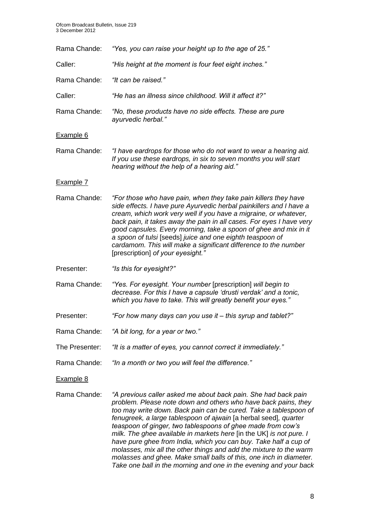| Rama Chande:   | "Yes, you can raise your height up to the age of 25."                                                                                                                                                                                                                                                                                                                                                                                                                                                                                                    |
|----------------|----------------------------------------------------------------------------------------------------------------------------------------------------------------------------------------------------------------------------------------------------------------------------------------------------------------------------------------------------------------------------------------------------------------------------------------------------------------------------------------------------------------------------------------------------------|
| Caller:        | "His height at the moment is four feet eight inches."                                                                                                                                                                                                                                                                                                                                                                                                                                                                                                    |
| Rama Chande:   | "It can be raised."                                                                                                                                                                                                                                                                                                                                                                                                                                                                                                                                      |
| Caller:        | "He has an illness since childhood. Will it affect it?"                                                                                                                                                                                                                                                                                                                                                                                                                                                                                                  |
| Rama Chande:   | "No, these products have no side effects. These are pure<br>ayurvedic herbal."                                                                                                                                                                                                                                                                                                                                                                                                                                                                           |
| Example 6      |                                                                                                                                                                                                                                                                                                                                                                                                                                                                                                                                                          |
| Rama Chande:   | "I have eardrops for those who do not want to wear a hearing aid.<br>If you use these eardrops, in six to seven months you will start<br>hearing without the help of a hearing aid."                                                                                                                                                                                                                                                                                                                                                                     |
| Example 7      |                                                                                                                                                                                                                                                                                                                                                                                                                                                                                                                                                          |
| Rama Chande:   | "For those who have pain, when they take pain killers they have<br>side effects. I have pure Ayurvedic herbal painkillers and I have a<br>cream, which work very well if you have a migraine, or whatever,<br>back pain, it takes away the pain in all cases. For eyes I have very<br>good capsules. Every morning, take a spoon of ghee and mix in it<br>a spoon of tulsi [seeds] juice and one eighth teaspoon of<br>cardamom. This will make a significant difference to the number<br>[prescription] of your eyesight.'                              |
| Presenter:     | "Is this for eyesight?"                                                                                                                                                                                                                                                                                                                                                                                                                                                                                                                                  |
| Rama Chande:   | "Yes. For eyesight. Your number [prescription] will begin to<br>decrease. For this I have a capsule 'drusti verdak' and a tonic,<br>which you have to take. This will greatly benefit your eyes."                                                                                                                                                                                                                                                                                                                                                        |
| Presenter:     | "For how many days can you use it – this syrup and tablet?"                                                                                                                                                                                                                                                                                                                                                                                                                                                                                              |
| Rama Chande:   | "A bit long, for a year or two."                                                                                                                                                                                                                                                                                                                                                                                                                                                                                                                         |
| The Presenter: | "It is a matter of eyes, you cannot correct it immediately."                                                                                                                                                                                                                                                                                                                                                                                                                                                                                             |
| Rama Chande:   | "In a month or two you will feel the difference."                                                                                                                                                                                                                                                                                                                                                                                                                                                                                                        |
| Example 8      |                                                                                                                                                                                                                                                                                                                                                                                                                                                                                                                                                          |
| Rama Chande:   | "A previous caller asked me about back pain. She had back pain<br>problem. Please note down and others who have back pains, they<br>too may write down. Back pain can be cured. Take a tablespoon of<br>fenugreek, a large tablespoon of ajwain [a herbal seed], quarter<br>teaspoon of ginger, two tablespoons of ghee made from cow's<br>milk. The ghee available in markets here [in the UK] is not pure. I<br>have pure ghee from India, which you can buy. Take half a cup of<br>molasses, mix all the other things and add the mixture to the warm |

*molasses and ghee. Make small balls of this, one inch in diameter. Take one ball in the morning and one in the evening and your back*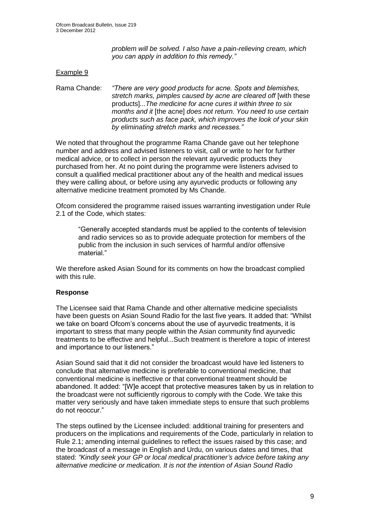*problem will be solved. I also have a pain-relieving cream, which you can apply in addition to this remedy."*

#### Example 9

Rama Chande: *"There are very good products for acne. Spots and blemishes, stretch marks, pimples caused by acne are cleared off* [with these products]*...The medicine for acne cures it within three to six months and it* [the acne] *does not return. You need to use certain products such as face pack, which improves the look of your skin by eliminating stretch marks and recesses."*

We noted that throughout the programme Rama Chande gave out her telephone number and address and advised listeners to visit, call or write to her for further medical advice, or to collect in person the relevant ayurvedic products they purchased from her. At no point during the programme were listeners advised to consult a qualified medical practitioner about any of the health and medical issues they were calling about, or before using any ayurvedic products or following any alternative medicine treatment promoted by Ms Chande.

Ofcom considered the programme raised issues warranting investigation under Rule 2.1 of the Code, which states:

"Generally accepted standards must be applied to the contents of television and radio services so as to provide adequate protection for members of the public from the inclusion in such services of harmful and/or offensive material."

We therefore asked Asian Sound for its comments on how the broadcast complied with this rule.

#### **Response**

The Licensee said that Rama Chande and other alternative medicine specialists have been guests on Asian Sound Radio for the last five years. It added that: "Whilst we take on board Ofcom's concerns about the use of ayurvedic treatments, it is important to stress that many people within the Asian community find ayurvedic treatments to be effective and helpful...Such treatment is therefore a topic of interest and importance to our listeners."

Asian Sound said that it did not consider the broadcast would have led listeners to conclude that alternative medicine is preferable to conventional medicine, that conventional medicine is ineffective or that conventional treatment should be abandoned. It added: "[W]e accept that protective measures taken by us in relation to the broadcast were not sufficiently rigorous to comply with the Code. We take this matter very seriously and have taken immediate steps to ensure that such problems do not reoccur."

The steps outlined by the Licensee included: additional training for presenters and producers on the implications and requirements of the Code, particularly in relation to Rule 2.1; amending internal guidelines to reflect the issues raised by this case; and the broadcast of a message in English and Urdu, on various dates and times, that stated: *"Kindly seek your GP or local medical practitioner's advice before taking any alternative medicine or medication. It is not the intention of Asian Sound Radio*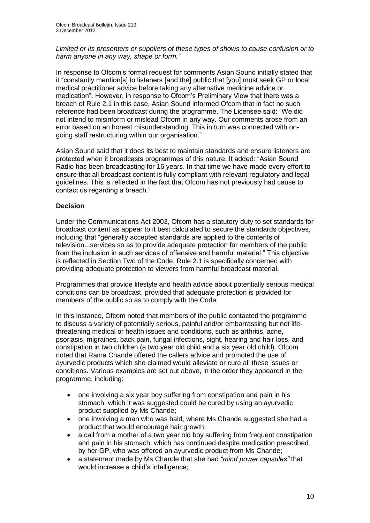*Limited or its presenters or suppliers of these types of shows to cause confusion or to harm anyone in any way, shape or form."* 

In response to Ofcom's formal request for comments Asian Sound initially stated that it "constantly mention[s] to listeners [and the] public that [you] must seek GP or local medical practitioner advice before taking any alternative medicine advice or medication". However, in response to Ofcom's Preliminary View that there was a breach of Rule 2.1 in this case, Asian Sound informed Ofcom that in fact no such reference had been broadcast during the programme. The Licensee said: "We did not intend to misinform or mislead Ofcom in any way. Our comments arose from an error based on an honest misunderstanding. This in turn was connected with ongoing staff restructuring within our organisation."

Asian Sound said that it does its best to maintain standards and ensure listeners are protected when it broadcasts programmes of this nature. It added: "Asian Sound Radio has been broadcasting for 16 years. In that time we have made every effort to ensure that all broadcast content is fully compliant with relevant regulatory and legal guidelines. This is reflected in the fact that Ofcom has not previously had cause to contact us regarding a breach."

## **Decision**

Under the Communications Act 2003, Ofcom has a statutory duty to set standards for broadcast content as appear to it best calculated to secure the standards objectives, including that "generally accepted standards are applied to the contents of television...services so as to provide adequate protection for members of the public from the inclusion in such services of offensive and harmful material." This objective is reflected in Section Two of the Code. Rule 2.1 is specifically concerned with providing adequate protection to viewers from harmful broadcast material.

Programmes that provide lifestyle and health advice about potentially serious medical conditions can be broadcast, provided that adequate protection is provided for members of the public so as to comply with the Code.

In this instance, Ofcom noted that members of the public contacted the programme to discuss a variety of potentially serious, painful and/or embarrassing but not lifethreatening medical or health issues and conditions, such as arthritis, acne, psoriasis, migraines, back pain, fungal infections, sight, hearing and hair loss, and constipation in two children (a two year old child and a six year old child). Ofcom noted that Rama Chande offered the callers advice and promoted the use of ayurvedic products which she claimed would alleviate or cure all these issues or conditions. Various examples are set out above, in the order they appeared in the programme, including:

- one involving a six year boy suffering from constipation and pain in his stomach, which it was suggested could be cured by using an ayurvedic product supplied by Ms Chande;
- one involving a man who was bald, where Ms Chande suggested she had a product that would encourage hair growth;
- a call from a mother of a two year old boy suffering from frequent constipation and pain in his stomach, which has continued despite medication prescribed by her GP, who was offered an ayurvedic product from Ms Chande;
- a statement made by Ms Chande that she had *"mind power capsules"* that would increase a child's intelligence;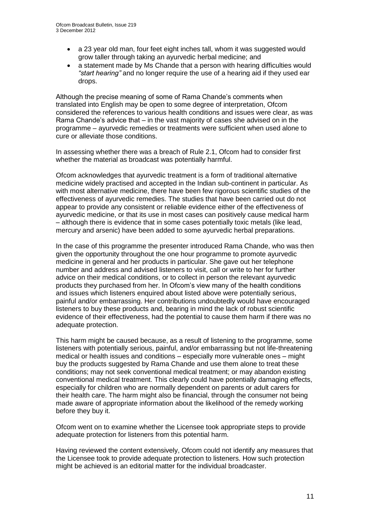- a 23 year old man, four feet eight inches tall, whom it was suggested would grow taller through taking an ayurvedic herbal medicine; and
- a statement made by Ms Chande that a person with hearing difficulties would *"start hearing"* and no longer require the use of a hearing aid if they used ear drops.

Although the precise meaning of some of Rama Chande's comments when translated into English may be open to some degree of interpretation, Ofcom considered the references to various health conditions and issues were clear, as was Rama Chande's advice that – in the vast majority of cases she advised on in the programme – ayurvedic remedies or treatments were sufficient when used alone to cure or alleviate those conditions.

In assessing whether there was a breach of Rule 2.1, Ofcom had to consider first whether the material as broadcast was potentially harmful.

Ofcom acknowledges that ayurvedic treatment is a form of traditional alternative medicine widely practised and accepted in the Indian sub-continent in particular. As with most alternative medicine, there have been few rigorous scientific studies of the effectiveness of ayurvedic remedies. The studies that have been carried out do not appear to provide any consistent or reliable evidence either of the effectiveness of ayurvedic medicine, or that its use in most cases can positively cause medical harm – although there is evidence that in some cases potentially toxic metals (like lead, mercury and arsenic) have been added to some ayurvedic herbal preparations.

In the case of this programme the presenter introduced Rama Chande, who was then given the opportunity throughout the one hour programme to promote ayurvedic medicine in general and her products in particular. She gave out her telephone number and address and advised listeners to visit, call or write to her for further advice on their medical conditions, or to collect in person the relevant ayurvedic products they purchased from her. In Ofcom's view many of the health conditions and issues which listeners enquired about listed above were potentially serious, painful and/or embarrassing. Her contributions undoubtedly would have encouraged listeners to buy these products and, bearing in mind the lack of robust scientific evidence of their effectiveness, had the potential to cause them harm if there was no adequate protection.

This harm might be caused because, as a result of listening to the programme, some listeners with potentially serious, painful, and/or embarrassing but not life-threatening medical or health issues and conditions – especially more vulnerable ones – might buy the products suggested by Rama Chande and use them alone to treat these conditions; may not seek conventional medical treatment; or may abandon existing conventional medical treatment. This clearly could have potentially damaging effects, especially for children who are normally dependent on parents or adult carers for their health care. The harm might also be financial, through the consumer not being made aware of appropriate information about the likelihood of the remedy working before they buy it.

Ofcom went on to examine whether the Licensee took appropriate steps to provide adequate protection for listeners from this potential harm.

Having reviewed the content extensively, Ofcom could not identify any measures that the Licensee took to provide adequate protection to listeners. How such protection might be achieved is an editorial matter for the individual broadcaster.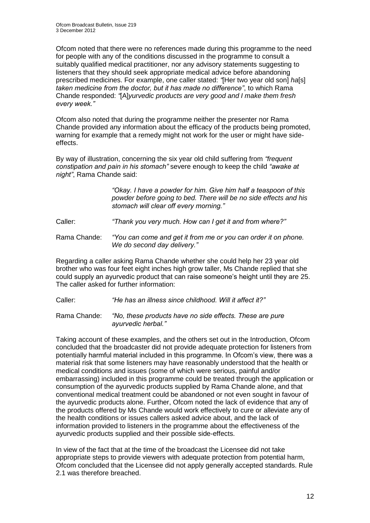Ofcom noted that there were no references made during this programme to the need for people with any of the conditions discussed in the programme to consult a suitably qualified medical practitioner, nor any advisory statements suggesting to listeners that they should seek appropriate medical advice before abandoning prescribed medicines. For example, one caller stated: *"*[Her two year old son] *ha*[s] *taken medicine from the doctor, but it has made no difference"*, to which Rama Chande responded: *"*[A]*yurvedic products are very good and I make them fresh every week."*

Ofcom also noted that during the programme neither the presenter nor Rama Chande provided any information about the efficacy of the products being promoted, warning for example that a remedy might not work for the user or might have sideeffects.

By way of illustration, concerning the six year old child suffering from *"frequent constipation and pain in his stomach"* severe enough to keep the child *"awake at night"*, Rama Chande said:

> *"Okay. I have a powder for him. Give him half a teaspoon of this powder before going to bed. There will be no side effects and his stomach will clear off every morning."*

Caller: *"Thank you very much. How can I get it and from where?"*

Rama Chande: *"You can come and get it from me or you can order it on phone. We do second day delivery."*

Regarding a caller asking Rama Chande whether she could help her 23 year old brother who was four feet eight inches high grow taller, Ms Chande replied that she could supply an ayurvedic product that can raise someone's height until they are 25. The caller asked for further information:

Caller: *"He has an illness since childhood. Will it affect it?"*

Rama Chande: *"No, these products have no side effects. These are pure ayurvedic herbal."*

Taking account of these examples, and the others set out in the Introduction, Ofcom concluded that the broadcaster did not provide adequate protection for listeners from potentially harmful material included in this programme. In Ofcom's view, there was a material risk that some listeners may have reasonably understood that the health or medical conditions and issues (some of which were serious, painful and/or embarrassing) included in this programme could be treated through the application or consumption of the ayurvedic products supplied by Rama Chande alone, and that conventional medical treatment could be abandoned or not even sought in favour of the ayurvedic products alone. Further, Ofcom noted the lack of evidence that any of the products offered by Ms Chande would work effectively to cure or alleviate any of the health conditions or issues callers asked advice about, and the lack of information provided to listeners in the programme about the effectiveness of the ayurvedic products supplied and their possible side-effects.

In view of the fact that at the time of the broadcast the Licensee did not take appropriate steps to provide viewers with adequate protection from potential harm, Ofcom concluded that the Licensee did not apply generally accepted standards. Rule 2.1 was therefore breached.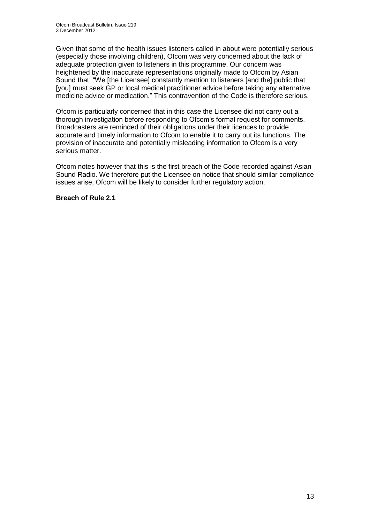Given that some of the health issues listeners called in about were potentially serious (especially those involving children), Ofcom was very concerned about the lack of adequate protection given to listeners in this programme. Our concern was heightened by the inaccurate representations originally made to Ofcom by Asian Sound that: "We [the Licensee] constantly mention to listeners [and the] public that [you] must seek GP or local medical practitioner advice before taking any alternative medicine advice or medication." This contravention of the Code is therefore serious.

Ofcom is particularly concerned that in this case the Licensee did not carry out a thorough investigation before responding to Ofcom's formal request for comments. Broadcasters are reminded of their obligations under their licences to provide accurate and timely information to Ofcom to enable it to carry out its functions. The provision of inaccurate and potentially misleading information to Ofcom is a very serious matter.

Ofcom notes however that this is the first breach of the Code recorded against Asian Sound Radio. We therefore put the Licensee on notice that should similar compliance issues arise, Ofcom will be likely to consider further regulatory action.

## **Breach of Rule 2.1**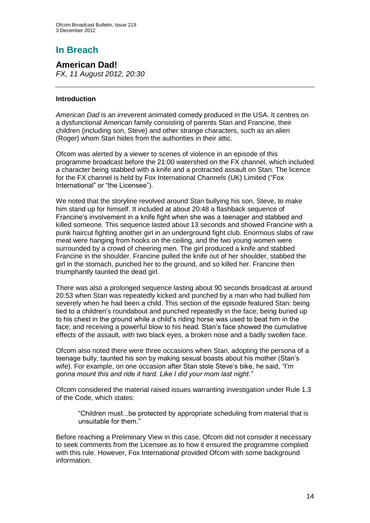# **In Breach**

**American Dad!** *FX, 11 August 2012, 20:30*

## **Introduction**

*American Dad* is an irreverent animated comedy produced in the USA. It centres on a [dysfunctional American family](http://en.wikipedia.org/wiki/Dysfunctional_family) consisting of parents [Stan](http://en.wikipedia.org/wiki/Stan_Smith_(American_Dad)) and [Francine,](http://en.wikipedia.org/wiki/Francine_Smith) their children (including son, [Steve\)](http://en.wikipedia.org/wiki/Steve_Smith_(American_Dad!)) and other strange characters, such as an [alien](http://en.wikipedia.org/wiki/Extraterrestrial) (Roger) whom Stan hides from the authorities in their attic.

Ofcom was alerted by a viewer to scenes of violence in an episode of this programme broadcast before the 21:00 watershed on the FX channel, which included a character being stabbed with a knife and a protracted assault on Stan. The licence for the FX channel is held by Fox International Channels (UK) Limited ("Fox International" or "the Licensee").

We noted that the storyline revolved around Stan bullying his son, Steve, to make him stand up for himself. It included at about 20:48 a flashback sequence of Francine's involvement in a knife fight when she was a teenager and stabbed and killed someone. This sequence lasted about 13 seconds and showed Francine with a punk haircut fighting another girl in an underground fight club. Enormous slabs of raw meat were hanging from hooks on the ceiling, and the two young women were surrounded by a crowd of cheering men. The girl produced a knife and stabbed Francine in the shoulder. Francine pulled the knife out of her shoulder, stabbed the girl in the stomach, punched her to the ground, and so killed her. Francine then triumphantly taunted the dead girl.

There was also a prolonged sequence lasting about 90 seconds broadcast at around 20:53 when Stan was repeatedly kicked and punched by a man who had bullied him severely when he had been a child. This section of the episode featured Stan: being tied to a children's roundabout and punched repeatedly in the face; being buried up to his chest in the ground while a child's riding horse was used to beat him in the face; and receiving a powerful blow to his head. Stan's face showed the cumulative effects of the assault, with two black eyes, a broken nose and a badly swollen face.

Ofcom also noted there were three occasions when Stan, adopting the persona of a teenage bully, taunted his son by making sexual boasts about his mother (Stan's wife). For example, on one occasion after Stan stole Steve's bike, he said, *"I'm gonna mount this and ride it hard. Like I did your mom last night."*

Ofcom considered the material raised issues warranting investigation under Rule 1.3 of the Code, which states:

"Children must...be protected by appropriate scheduling from material that is unsuitable for them."

Before reaching a Preliminary View in this case, Ofcom did not consider it necessary to seek comments from the Licensee as to how it ensured the programme complied with this rule. However, Fox International provided Ofcom with some background information.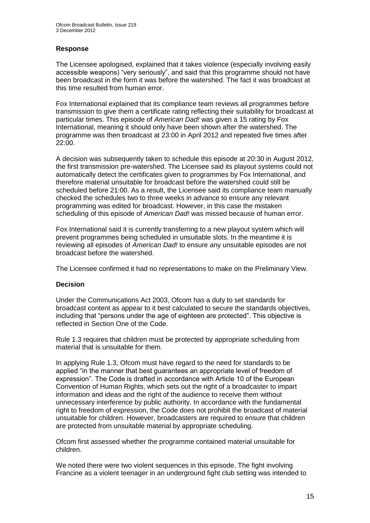## **Response**

The Licensee apologised, explained that it takes violence (especially involving easily accessible weapons) "very seriously", and said that this programme should not have been broadcast in the form it was before the watershed. The fact it was broadcast at this time resulted from human error.

Fox International explained that its compliance team reviews all programmes before transmission to give them a certificate rating reflecting their suitability for broadcast at particular times. This episode of *American Dad!* was given a 15 rating by Fox International, meaning it should only have been shown after the watershed. The programme was then broadcast at 23:00 in April 2012 and repeated five times after 22:00.

A decision was subsequently taken to schedule this episode at 20:30 in August 2012, the first transmission pre-watershed. The Licensee said its playout systems could not automatically detect the certificates given to programmes by Fox International, and therefore material unsuitable for broadcast before the watershed could still be scheduled before 21:00. As a result, the Licensee said its compliance team manually checked the schedules two to three weeks in advance to ensure any relevant programming was edited for broadcast. However, in this case the mistaken scheduling of this episode of *American Dad!* was missed because of human error.

Fox International said it is currently transferring to a new playout system which will prevent programmes being scheduled in unsuitable slots. In the meantime it is reviewing all episodes of *American Dad!* to ensure any unsuitable episodes are not broadcast before the watershed.

The Licensee confirmed it had no representations to make on the Preliminary View.

## **Decision**

Under the Communications Act 2003, Ofcom has a duty to set standards for broadcast content as appear to it best calculated to secure the standards objectives, including that "persons under the age of eighteen are protected". This objective is reflected in Section One of the Code.

Rule 1.3 requires that children must be protected by appropriate scheduling from material that is unsuitable for them.

In applying Rule 1.3, Ofcom must have regard to the need for standards to be applied "in the manner that best guarantees an appropriate level of freedom of expression". The Code is drafted in accordance with Article 10 of the European Convention of Human Rights, which sets out the right of a broadcaster to impart information and ideas and the right of the audience to receive them without unnecessary interference by public authority. In accordance with the fundamental right to freedom of expression, the Code does not prohibit the broadcast of material unsuitable for children. However, broadcasters are required to ensure that children are protected from unsuitable material by appropriate scheduling.

Ofcom first assessed whether the programme contained material unsuitable for children.

We noted there were two violent sequences in this episode. The fight involving Francine as a violent teenager in an underground fight club setting was intended to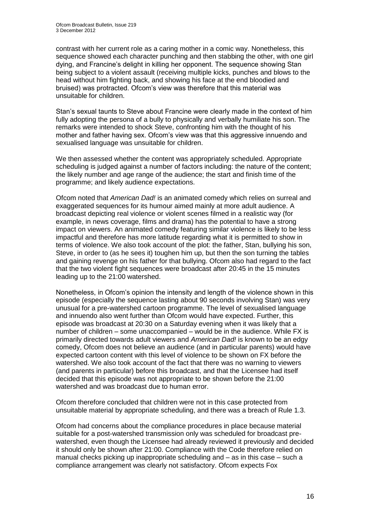contrast with her current role as a caring mother in a comic way. Nonetheless, this sequence showed each character punching and then stabbing the other, with one girl dying, and Francine's delight in killing her opponent. The sequence showing Stan being subject to a violent assault (receiving multiple kicks, punches and blows to the head without him fighting back, and showing his face at the end bloodied and bruised) was protracted. Ofcom's view was therefore that this material was unsuitable for children.

Stan's sexual taunts to Steve about Francine were clearly made in the context of him fully adopting the persona of a bully to physically and verbally humiliate his son. The remarks were intended to shock Steve, confronting him with the thought of his mother and father having sex. Ofcom's view was that this aggressive innuendo and sexualised language was unsuitable for children.

We then assessed whether the content was appropriately scheduled. Appropriate scheduling is judged against a number of factors including: the nature of the content; the likely number and age range of the audience; the start and finish time of the programme; and likely audience expectations.

Ofcom noted that *American Dad!* is an animated comedy which relies on surreal and exaggerated sequences for its humour aimed mainly at more adult audience. A broadcast depicting real violence or violent scenes filmed in a realistic way (for example, in news coverage, films and drama) has the potential to have a strong impact on viewers. An animated comedy featuring similar violence is likely to be less impactful and therefore has more latitude regarding what it is permitted to show in terms of violence. We also took account of the plot: the father, Stan, bullying his son, Steve, in order to (as he sees it) toughen him up, but then the son turning the tables and gaining revenge on his father for that bullying. Ofcom also had regard to the fact that the two violent fight sequences were broadcast after 20:45 in the 15 minutes leading up to the 21:00 watershed.

Nonetheless, in Ofcom's opinion the intensity and length of the violence shown in this episode (especially the sequence lasting about 90 seconds involving Stan) was very unusual for a pre-watershed cartoon programme. The level of sexualised language and innuendo also went further than Ofcom would have expected. Further, this episode was broadcast at 20:30 on a Saturday evening when it was likely that a number of children – some unaccompanied – would be in the audience. While FX is primarily directed towards adult viewers and *American Dad!* is known to be an edgy comedy, Ofcom does not believe an audience (and in particular parents) would have expected cartoon content with this level of violence to be shown on FX before the watershed. We also took account of the fact that there was no warning to viewers (and parents in particular) before this broadcast, and that the Licensee had itself decided that this episode was not appropriate to be shown before the 21:00 watershed and was broadcast due to human error.

Ofcom therefore concluded that children were not in this case protected from unsuitable material by appropriate scheduling, and there was a breach of Rule 1.3.

Ofcom had concerns about the compliance procedures in place because material suitable for a post-watershed transmission only was scheduled for broadcast prewatershed, even though the Licensee had already reviewed it previously and decided it should only be shown after 21:00. Compliance with the Code therefore relied on manual checks picking up inappropriate scheduling and – as in this case – such a compliance arrangement was clearly not satisfactory. Ofcom expects Fox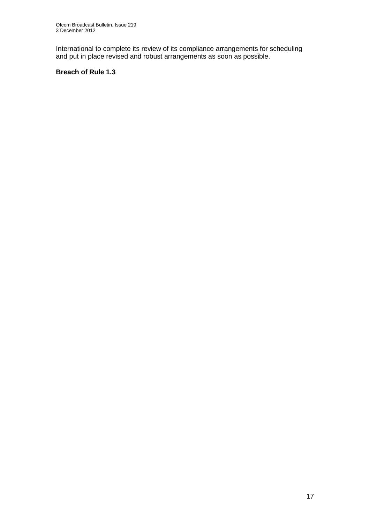International to complete its review of its compliance arrangements for scheduling and put in place revised and robust arrangements as soon as possible.

## **Breach of Rule 1.3**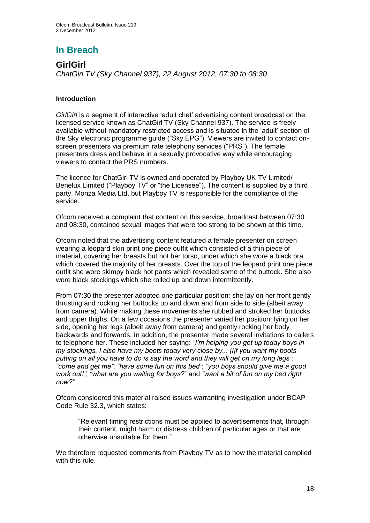## **In Breach**

**GirlGirl** *ChatGirl TV (Sky Channel 937), 22 August 2012, 07:30 to 08:30*

## **Introduction**

*GirlGirl* is a segment of interactive 'adult chat' advertising content broadcast on the licensed service known as ChatGirl TV (Sky Channel 937). The service is freely available without mandatory restricted access and is situated in the 'adult' section of the Sky electronic programme guide ("Sky EPG"). Viewers are invited to contact onscreen presenters via premium rate telephony services ("PRS"). The female presenters dress and behave in a sexually provocative way while encouraging viewers to contact the PRS numbers.

The licence for ChatGirl TV is owned and operated by Playboy UK TV Limited/ Benelux Limited ("Playboy TV" or "the Licensee"). The content is supplied by a third party, Monza Media Ltd, but Playboy TV is responsible for the compliance of the service.

Ofcom received a complaint that content on this service, broadcast between 07:30 and 08:30, contained sexual images that were too strong to be shown at this time.

Ofcom noted that the advertising content featured a female presenter on screen wearing a leopard skin print one piece outfit which consisted of a thin piece of material, covering her breasts but not her torso, under which she wore a black bra which covered the majority of her breasts. Over the top of the leopard print one piece outfit she wore skimpy black hot pants which revealed some of the buttock. She also wore black stockings which she rolled up and down intermittently.

From 07:30 the presenter adopted one particular position: she lay on her front gently thrusting and rocking her buttocks up and down and from side to side (albeit away from camera). While making these movements she rubbed and stroked her buttocks and upper thighs. On a few occasions the presenter varied her position: lying on her side, opening her legs (albeit away from camera) and gently rocking her body backwards and forwards. In addition, the presenter made several invitations to callers to telephone her. These included her saying: *"I'm helping you get up today boys in my stockings. I also have my boots today very close by... [I]f you want my boots putting on all you have to do is say the word and they will get on my long legs"*; *"come and get me"*; *"have some fun on this bed"*; *"you boys should give me a good work out!"*; *"what are you waiting for boys?*" and *"want a bit of fun on my bed right now?"*

Ofcom considered this material raised issues warranting investigation under BCAP Code Rule 32.3, which states:

"Relevant timing restrictions must be applied to advertisements that, through their content, might harm or distress children of particular ages or that are otherwise unsuitable for them."

We therefore requested comments from Playboy TV as to how the material complied with this rule.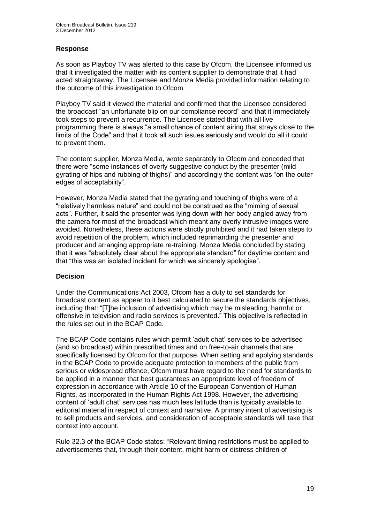## **Response**

As soon as Playboy TV was alerted to this case by Ofcom, the Licensee informed us that it investigated the matter with its content supplier to demonstrate that it had acted straightaway. The Licensee and Monza Media provided information relating to the outcome of this investigation to Ofcom.

Playboy TV said it viewed the material and confirmed that the Licensee considered the broadcast "an unfortunate blip on our compliance record" and that it immediately took steps to prevent a recurrence. The Licensee stated that with all live programming there is always "a small chance of content airing that strays close to the limits of the Code" and that it took all such issues seriously and would do all it could to prevent them.

The content supplier, Monza Media, wrote separately to Ofcom and conceded that there were "some instances of overly suggestive conduct by the presenter (mild gyrating of hips and rubbing of thighs)" and accordingly the content was "on the outer edges of acceptability".

However, Monza Media stated that the gyrating and touching of thighs were of a "relatively harmless nature" and could not be construed as the "miming of sexual acts". Further, it said the presenter was lying down with her body angled away from the camera for most of the broadcast which meant any overly intrusive images were avoided. Nonetheless, these actions were strictly prohibited and it had taken steps to avoid repetition of the problem, which included reprimanding the presenter and producer and arranging appropriate re-training. Monza Media concluded by stating that it was "absolutely clear about the appropriate standard" for daytime content and that "this was an isolated incident for which we sincerely apologise".

## **Decision**

Under the Communications Act 2003, Ofcom has a duty to set standards for broadcast content as appear to it best calculated to secure the standards objectives, including that: "[T]he inclusion of advertising which may be misleading, harmful or offensive in television and radio services is prevented." This objective is reflected in the rules set out in the BCAP Code.

The BCAP Code contains rules which permit 'adult chat' services to be advertised (and so broadcast) within prescribed times and on free-to-air channels that are specifically licensed by Ofcom for that purpose. When setting and applying standards in the BCAP Code to provide adequate protection to members of the public from serious or widespread offence, Ofcom must have regard to the need for standards to be applied in a manner that best guarantees an appropriate level of freedom of expression in accordance with Article 10 of the European Convention of Human Rights, as incorporated in the Human Rights Act 1998. However, the advertising content of 'adult chat' services has much less latitude than is typically available to editorial material in respect of context and narrative. A primary intent of advertising is to sell products and services, and consideration of acceptable standards will take that context into account.

Rule 32.3 of the BCAP Code states: "Relevant timing restrictions must be applied to advertisements that, through their content, might harm or distress children of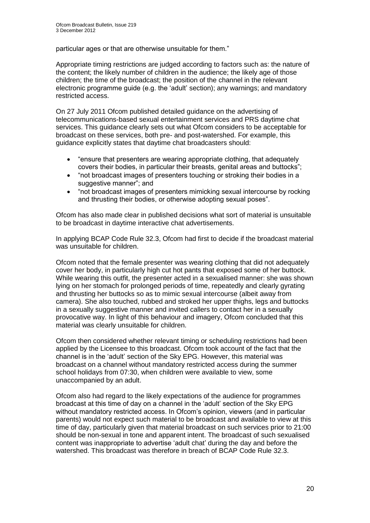particular ages or that are otherwise unsuitable for them."

Appropriate timing restrictions are judged according to factors such as: the nature of the content; the likely number of children in the audience; the likely age of those children; the time of the broadcast; the position of the channel in the relevant electronic programme guide (e.g. the 'adult' section); any warnings; and mandatory restricted access.

On 27 July 2011 Ofcom published detailed guidance on the advertising of telecommunications-based sexual entertainment services and PRS daytime chat services. This guidance clearly sets out what Ofcom considers to be acceptable for broadcast on these services, both pre- and post-watershed. For example, this guidance explicitly states that daytime chat broadcasters should:

- "ensure that presenters are wearing appropriate clothing, that adequately covers their bodies, in particular their breasts, genital areas and buttocks";
- "not broadcast images of presenters touching or stroking their bodies in a suggestive manner"; and
- "not broadcast images of presenters mimicking sexual intercourse by rocking and thrusting their bodies, or otherwise adopting sexual poses".

Ofcom has also made clear in published decisions what sort of material is unsuitable to be broadcast in daytime interactive chat advertisements.

In applying BCAP Code Rule 32.3, Ofcom had first to decide if the broadcast material was unsuitable for children.

Ofcom noted that the female presenter was wearing clothing that did not adequately cover her body, in particularly high cut hot pants that exposed some of her buttock. While wearing this outfit, the presenter acted in a sexualised manner: she was shown lying on her stomach for prolonged periods of time, repeatedly and clearly gyrating and thrusting her buttocks so as to mimic sexual intercourse (albeit away from camera). She also touched, rubbed and stroked her upper thighs, legs and buttocks in a sexually suggestive manner and invited callers to contact her in a sexually provocative way. In light of this behaviour and imagery, Ofcom concluded that this material was clearly unsuitable for children.

Ofcom then considered whether relevant timing or scheduling restrictions had been applied by the Licensee to this broadcast. Ofcom took account of the fact that the channel is in the 'adult' section of the Sky EPG. However, this material was broadcast on a channel without mandatory restricted access during the summer school holidays from 07:30, when children were available to view, some unaccompanied by an adult.

Ofcom also had regard to the likely expectations of the audience for programmes broadcast at this time of day on a channel in the 'adult' section of the Sky EPG without mandatory restricted access. In Ofcom's opinion, viewers (and in particular parents) would not expect such material to be broadcast and available to view at this time of day, particularly given that material broadcast on such services prior to 21:00 should be non-sexual in tone and apparent intent. The broadcast of such sexualised content was inappropriate to advertise 'adult chat' during the day and before the watershed. This broadcast was therefore in breach of BCAP Code Rule 32.3.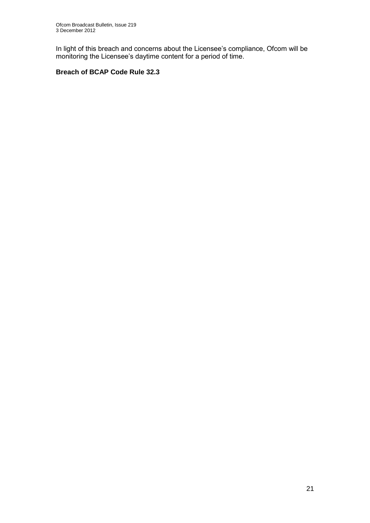In light of this breach and concerns about the Licensee's compliance, Ofcom will be monitoring the Licensee's daytime content for a period of time.

## **Breach of BCAP Code Rule 32.3**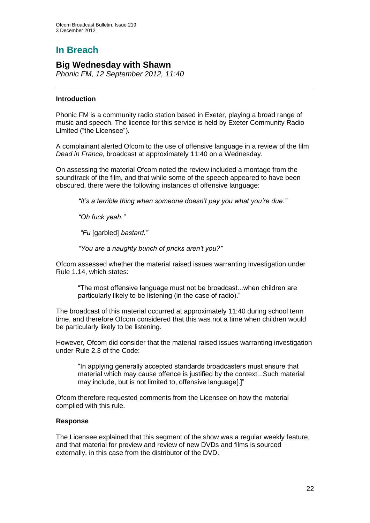# **In Breach**

## **Big Wednesday with Shawn**

*Phonic FM, 12 September 2012, 11:40*

## **Introduction**

Phonic FM is a community radio station based in Exeter, playing a broad range of music and speech. The licence for this service is held by Exeter Community Radio Limited ("the Licensee").

A complainant alerted Ofcom to the use of offensive language in a review of the film *Dead in France*, broadcast at approximately 11:40 on a Wednesday.

On assessing the material Ofcom noted the review included a montage from the soundtrack of the film, and that while some of the speech appeared to have been obscured, there were the following instances of offensive language:

*"It's a terrible thing when someone doesn't pay you what you're due."* 

*"Oh fuck yeah."*

*"Fu* [garbled] *bastard."* 

*"You are a naughty bunch of pricks aren't you?"*

Ofcom assessed whether the material raised issues warranting investigation under Rule 1.14, which states:

"The most offensive language must not be broadcast...when children are particularly likely to be listening (in the case of radio)."

The broadcast of this material occurred at approximately 11:40 during school term time, and therefore Ofcom considered that this was not a time when children would be particularly likely to be listening.

However, Ofcom did consider that the material raised issues warranting investigation under Rule 2.3 of the Code:

"In applying generally accepted standards broadcasters must ensure that material which may cause offence is justified by the context...Such material may include, but is not limited to, offensive language[.]"

Ofcom therefore requested comments from the Licensee on how the material complied with this rule.

#### **Response**

The Licensee explained that this segment of the show was a regular weekly feature, and that material for preview and review of new DVDs and films is sourced externally, in this case from the distributor of the DVD.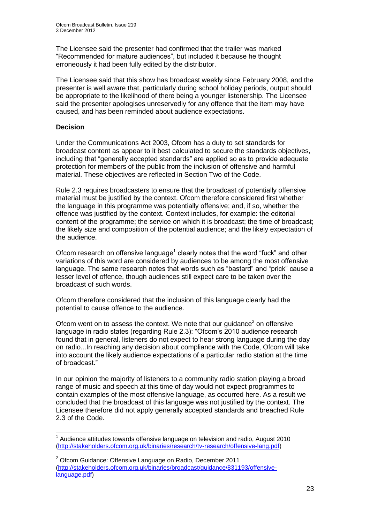The Licensee said the presenter had confirmed that the trailer was marked "Recommended for mature audiences", but included it because he thought erroneously it had been fully edited by the distributor.

The Licensee said that this show has broadcast weekly since February 2008, and the presenter is well aware that, particularly during school holiday periods, output should be appropriate to the likelihood of there being a younger listenership. The Licensee said the presenter apologises unreservedly for any offence that the item may have caused, and has been reminded about audience expectations.

## **Decision**

Under the Communications Act 2003, Ofcom has a duty to set standards for broadcast content as appear to it best calculated to secure the standards objectives, including that "generally accepted standards" are applied so as to provide adequate protection for members of the public from the inclusion of offensive and harmful material. These objectives are reflected in Section Two of the Code.

Rule 2.3 requires broadcasters to ensure that the broadcast of potentially offensive material must be justified by the context. Ofcom therefore considered first whether the language in this programme was potentially offensive; and, if so, whether the offence was justified by the context. Context includes, for example: the editorial content of the programme; the service on which it is broadcast; the time of broadcast; the likely size and composition of the potential audience; and the likely expectation of the audience.

Ofcom research on offensive language $<sup>1</sup>$  clearly notes that the word "fuck" and other</sup> variations of this word are considered by audiences to be among the most offensive language. The same research notes that words such as "bastard" and "prick" cause a lesser level of offence, though audiences still expect care to be taken over the broadcast of such words.

Ofcom therefore considered that the inclusion of this language clearly had the potential to cause offence to the audience.

Ofcom went on to assess the context. We note that our guidance $2$  on offensive language in radio states (regarding Rule 2.3): "Ofcom's 2010 audience research found that in general, listeners do not expect to hear strong language during the day on radio...In reaching any decision about compliance with the Code, Ofcom will take into account the likely audience expectations of a particular radio station at the time of broadcast."

In our opinion the majority of listeners to a community radio station playing a broad range of music and speech at this time of day would not expect programmes to contain examples of the most offensive language, as occurred here. As a result we concluded that the broadcast of this language was not justified by the context. The Licensee therefore did not apply generally accepted standards and breached Rule 2.3 of the Code.

<sup>1</sup>  $1$  Audience attitudes towards offensive language on television and radio, August 2010 [\(http://stakeholders.ofcom.org.uk/binaries/research/tv-research/offensive-lang.pdf\)](http://stakeholders.ofcom.org.uk/binaries/research/tv-research/offensive-lang.pdf)

 $2$  Ofcom Guidance: Offensive Language on Radio, December 2011 [\(http://stakeholders.ofcom.org.uk/binaries/broadcast/guidance/831193/offensive](http://stakeholders.ofcom.org.uk/binaries/broadcast/guidance/831193/offensive-language.pdf)[language.pdf\)](http://stakeholders.ofcom.org.uk/binaries/broadcast/guidance/831193/offensive-language.pdf)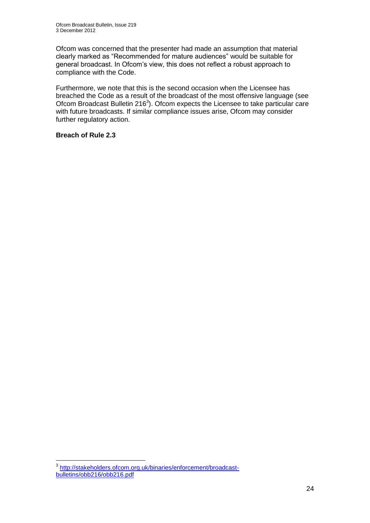Ofcom was concerned that the presenter had made an assumption that material clearly marked as "Recommended for mature audiences" would be suitable for general broadcast. In Ofcom's view, this does not reflect a robust approach to compliance with the Code.

Furthermore, we note that this is the second occasion when the Licensee has breached the Code as a result of the broadcast of the most offensive language (see Ofcom Broadcast Bulletin 216 $3$ ). Ofcom expects the Licensee to take particular care with future broadcasts. If similar compliance issues arise, Ofcom may consider further regulatory action.

## **Breach of Rule 2.3**

 3 [http://stakeholders.ofcom.org.uk/binaries/enforcement/broadcast](http://stakeholders.ofcom.org.uk/binaries/enforcement/broadcast-bulletins/obb216/obb216.pdf)[bulletins/obb216/obb216.pdf](http://stakeholders.ofcom.org.uk/binaries/enforcement/broadcast-bulletins/obb216/obb216.pdf)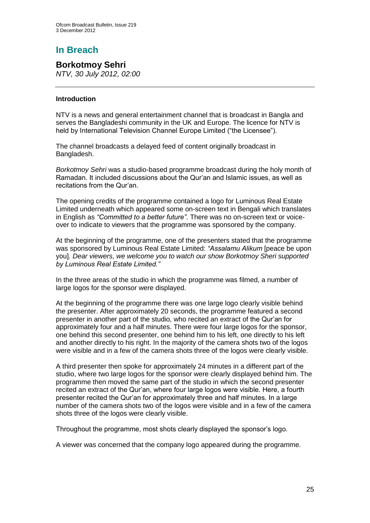## **In Breach**

**Borkotmoy Sehri** *NTV, 30 July 2012, 02:00*

## **Introduction**

NTV is a news and general entertainment channel that is broadcast in Bangla and serves the Bangladeshi community in the UK and Europe. The licence for NTV is held by International Television Channel Europe Limited ("the Licensee").

The channel broadcasts a delayed feed of content originally broadcast in Bangladesh.

*Borkotmoy Sehri* was a studio-based programme broadcast during the holy month of Ramadan. It included discussions about the Qur'an and Islamic issues, as well as recitations from the Qur'an.

The opening credits of the programme contained a logo for Luminous Real Estate Limited underneath which appeared some on-screen text in Bengali which translates in English as *"Committed to a better future"*. There was no on-screen text or voiceover to indicate to viewers that the programme was sponsored by the company.

At the beginning of the programme, one of the presenters stated that the programme was sponsored by Luminous Real Estate Limited: *"Assalamu Alikum* [peace be upon you]*. Dear viewers, we welcome you to watch our show Borkotmoy Sheri supported by Luminous Real Estate Limited."*

In the three areas of the studio in which the programme was filmed, a number of large logos for the sponsor were displayed.

At the beginning of the programme there was one large logo clearly visible behind the presenter. After approximately 20 seconds, the programme featured a second presenter in another part of the studio, who recited an extract of the Qur'an for approximately four and a half minutes. There were four large logos for the sponsor, one behind this second presenter, one behind him to his left, one directly to his left and another directly to his right. In the majority of the camera shots two of the logos were visible and in a few of the camera shots three of the logos were clearly visible.

A third presenter then spoke for approximately 24 minutes in a different part of the studio, where two large logos for the sponsor were clearly displayed behind him. The programme then moved the same part of the studio in which the second presenter recited an extract of the Qur'an, where four large logos were visible. Here, a fourth presenter recited the Qur'an for approximately three and half minutes. In a large number of the camera shots two of the logos were visible and in a few of the camera shots three of the logos were clearly visible.

Throughout the programme, most shots clearly displayed the sponsor's logo.

A viewer was concerned that the company logo appeared during the programme.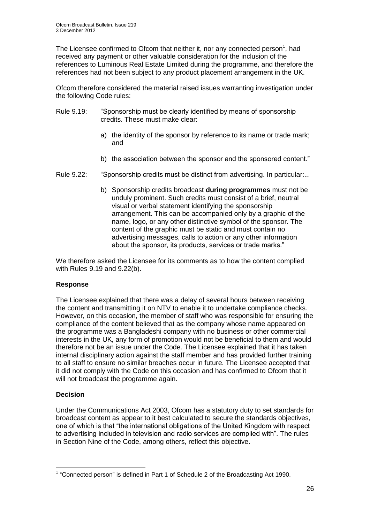The Licensee confirmed to Ofcom that neither it, nor any connected person<sup>1</sup>, had received any payment or other valuable consideration for the inclusion of the references to Luminous Real Estate Limited during the programme, and therefore the references had not been subject to any product placement arrangement in the UK.

Ofcom therefore considered the material raised issues warranting investigation under the following Code rules:

- Rule 9.19: "Sponsorship must be clearly identified by means of sponsorship credits. These must make clear:
	- a) the identity of the sponsor by reference to its name or trade mark; and
	- b) the association between the sponsor and the sponsored content."
- Rule 9.22: "Sponsorship credits must be distinct from advertising. In particular:...
	- b) Sponsorship credits broadcast **during programmes** must not be unduly prominent. Such credits must consist of a brief, neutral visual or verbal statement identifying the sponsorship arrangement. This can be accompanied only by a graphic of the name, logo, or any other distinctive symbol of the sponsor. The content of the graphic must be static and must contain no advertising messages, calls to action or any other information about the sponsor, its products, services or trade marks."

We therefore asked the Licensee for its comments as to how the content complied with Rules 9.19 and 9.22(b).

## **Response**

The Licensee explained that there was a delay of several hours between receiving the content and transmitting it on NTV to enable it to undertake compliance checks. However, on this occasion, the member of staff who was responsible for ensuring the compliance of the content believed that as the company whose name appeared on the programme was a Bangladeshi company with no business or other commercial interests in the UK, any form of promotion would not be beneficial to them and would therefore not be an issue under the Code. The Licensee explained that it has taken internal disciplinary action against the staff member and has provided further training to all staff to ensure no similar breaches occur in future. The Licensee accepted that it did not comply with the Code on this occasion and has confirmed to Ofcom that it will not broadcast the programme again.

## **Decision**

Under the Communications Act 2003, Ofcom has a statutory duty to set standards for broadcast content as appear to it best calculated to secure the standards objectives, one of which is that "the international obligations of the United Kingdom with respect to advertising included in television and radio services are complied with". The rules in Section Nine of the Code, among others, reflect this objective.

 1 "Connected person" is defined in Part 1 of Schedule 2 of the Broadcasting Act 1990.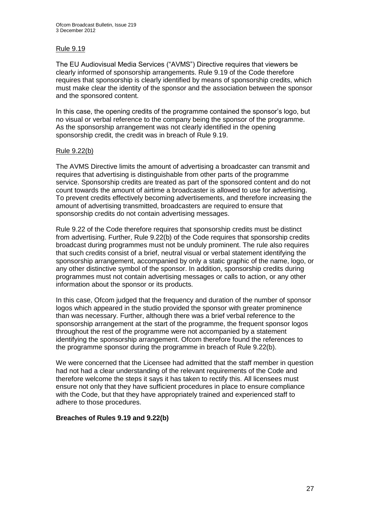## Rule 9.19

The EU Audiovisual Media Services ("AVMS") Directive requires that viewers be clearly informed of sponsorship arrangements. Rule 9.19 of the Code therefore requires that sponsorship is clearly identified by means of sponsorship credits, which must make clear the identity of the sponsor and the association between the sponsor and the sponsored content.

In this case, the opening credits of the programme contained the sponsor's logo, but no visual or verbal reference to the company being the sponsor of the programme. As the sponsorship arrangement was not clearly identified in the opening sponsorship credit, the credit was in breach of Rule 9.19.

## Rule 9.22(b)

The AVMS Directive limits the amount of advertising a broadcaster can transmit and requires that advertising is distinguishable from other parts of the programme service. Sponsorship credits are treated as part of the sponsored content and do not count towards the amount of airtime a broadcaster is allowed to use for advertising. To prevent credits effectively becoming advertisements, and therefore increasing the amount of advertising transmitted, broadcasters are required to ensure that sponsorship credits do not contain advertising messages.

Rule 9.22 of the Code therefore requires that sponsorship credits must be distinct from advertising. Further, Rule 9.22(b) of the Code requires that sponsorship credits broadcast during programmes must not be unduly prominent. The rule also requires that such credits consist of a brief, neutral visual or verbal statement identifying the sponsorship arrangement, accompanied by only a static graphic of the name, logo, or any other distinctive symbol of the sponsor. In addition, sponsorship credits during programmes must not contain advertising messages or calls to action, or any other information about the sponsor or its products.

In this case, Ofcom judged that the frequency and duration of the number of sponsor logos which appeared in the studio provided the sponsor with greater prominence than was necessary. Further, although there was a brief verbal reference to the sponsorship arrangement at the start of the programme, the frequent sponsor logos throughout the rest of the programme were not accompanied by a statement identifying the sponsorship arrangement. Ofcom therefore found the references to the programme sponsor during the programme in breach of Rule 9.22(b).

We were concerned that the Licensee had admitted that the staff member in question had not had a clear understanding of the relevant requirements of the Code and therefore welcome the steps it says it has taken to rectify this. All licensees must ensure not only that they have sufficient procedures in place to ensure compliance with the Code, but that they have appropriately trained and experienced staff to adhere to those procedures.

## **Breaches of Rules 9.19 and 9.22(b)**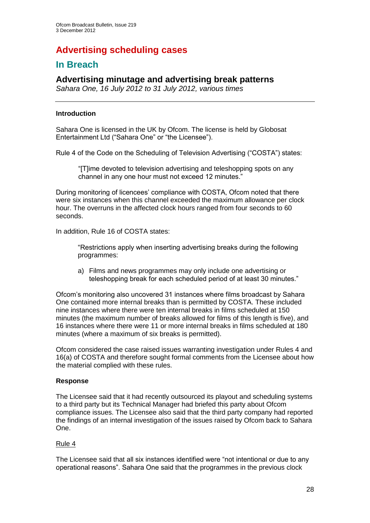# **Advertising scheduling cases**

## **In Breach**

## **Advertising minutage and advertising break patterns**

*Sahara One, 16 July 2012 to 31 July 2012, various times*

#### **Introduction**

Sahara One is licensed in the UK by Ofcom. The license is held by Globosat Entertainment Ltd ("Sahara One" or "the Licensee").

Rule 4 of the Code on the Scheduling of Television Advertising ("COSTA") states:

"[T]ime devoted to television advertising and teleshopping spots on any channel in any one hour must not exceed 12 minutes."

During monitoring of licencees' compliance with COSTA, Ofcom noted that there were six instances when this channel exceeded the maximum allowance per clock hour. The overruns in the affected clock hours ranged from four seconds to 60 seconds.

In addition, Rule 16 of COSTA states:

"Restrictions apply when inserting advertising breaks during the following programmes:

a) Films and news programmes may only include one advertising or teleshopping break for each scheduled period of at least 30 minutes."

Ofcom's monitoring also uncovered 31 instances where films broadcast by Sahara One contained more internal breaks than is permitted by COSTA. These included nine instances where there were ten internal breaks in films scheduled at 150 minutes (the maximum number of breaks allowed for films of this length is five), and 16 instances where there were 11 or more internal breaks in films scheduled at 180 minutes (where a maximum of six breaks is permitted).

Ofcom considered the case raised issues warranting investigation under Rules 4 and 16(a) of COSTA and therefore sought formal comments from the Licensee about how the material complied with these rules.

## **Response**

The Licensee said that it had recently outsourced its playout and scheduling systems to a third party but its Technical Manager had briefed this party about Ofcom compliance issues. The Licensee also said that the third party company had reported the findings of an internal investigation of the issues raised by Ofcom back to Sahara One.

## Rule 4

The Licensee said that all six instances identified were "not intentional or due to any operational reasons". Sahara One said that the programmes in the previous clock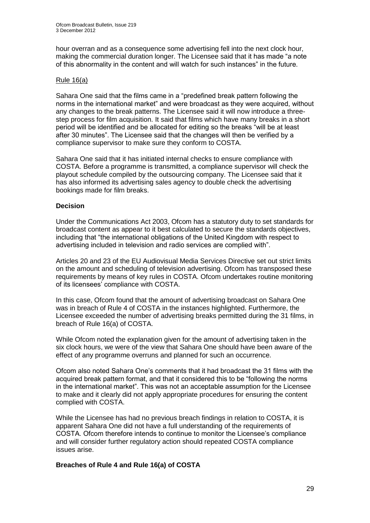hour overran and as a consequence some advertising fell into the next clock hour, making the commercial duration longer. The Licensee said that it has made "a note of this abnormality in the content and will watch for such instances" in the future.

#### Rule 16(a)

Sahara One said that the films came in a "predefined break pattern following the norms in the international market" and were broadcast as they were acquired, without any changes to the break patterns. The Licensee said it will now introduce a threestep process for film acquisition. It said that films which have many breaks in a short period will be identified and be allocated for editing so the breaks "will be at least after 30 minutes". The Licensee said that the changes will then be verified by a compliance supervisor to make sure they conform to COSTA.

Sahara One said that it has initiated internal checks to ensure compliance with COSTA. Before a programme is transmitted, a compliance supervisor will check the playout schedule compiled by the outsourcing company. The Licensee said that it has also informed its advertising sales agency to double check the advertising bookings made for film breaks.

## **Decision**

Under the Communications Act 2003, Ofcom has a statutory duty to set standards for broadcast content as appear to it best calculated to secure the standards objectives, including that "the international obligations of the United Kingdom with respect to advertising included in television and radio services are complied with".

Articles 20 and 23 of the EU Audiovisual Media Services Directive set out strict limits on the amount and scheduling of television advertising. Ofcom has transposed these requirements by means of key rules in COSTA. Ofcom undertakes routine monitoring of its licensees' compliance with COSTA.

In this case, Ofcom found that the amount of advertising broadcast on Sahara One was in breach of Rule 4 of COSTA in the instances highlighted. Furthermore, the Licensee exceeded the number of advertising breaks permitted during the 31 films, in breach of Rule 16(a) of COSTA.

While Ofcom noted the explanation given for the amount of advertising taken in the six clock hours, we were of the view that Sahara One should have been aware of the effect of any programme overruns and planned for such an occurrence.

Ofcom also noted Sahara One's comments that it had broadcast the 31 films with the acquired break pattern format, and that it considered this to be "following the norms in the international market". This was not an acceptable assumption for the Licensee to make and it clearly did not apply appropriate procedures for ensuring the content complied with COSTA.

While the Licensee has had no previous breach findings in relation to COSTA, it is apparent Sahara One did not have a full understanding of the requirements of COSTA. Ofcom therefore intends to continue to monitor the Licensee's compliance and will consider further regulatory action should repeated COSTA compliance issues arise.

## **Breaches of Rule 4 and Rule 16(a) of COSTA**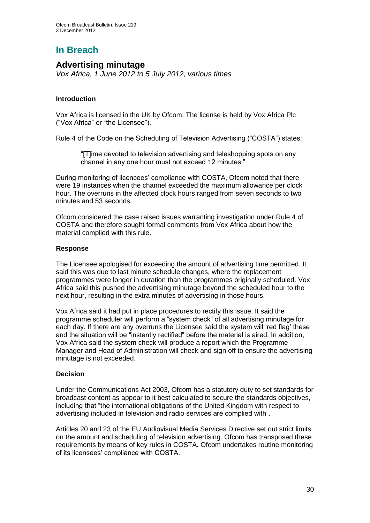# **In Breach**

## **Advertising minutage**

*Vox Africa, 1 June 2012 to 5 July 2012, various times*

## **Introduction**

Vox Africa is licensed in the UK by Ofcom. The license is held by Vox Africa Plc ("Vox Africa" or "the Licensee").

Rule 4 of the Code on the Scheduling of Television Advertising ("COSTA") states:

"[T]ime devoted to television advertising and teleshopping spots on any channel in any one hour must not exceed 12 minutes."

During monitoring of licencees' compliance with COSTA, Ofcom noted that there were 19 instances when the channel exceeded the maximum allowance per clock hour. The overruns in the affected clock hours ranged from seven seconds to two minutes and 53 seconds.

Ofcom considered the case raised issues warranting investigation under Rule 4 of COSTA and therefore sought formal comments from Vox Africa about how the material complied with this rule.

## **Response**

The Licensee apologised for exceeding the amount of advertising time permitted. It said this was due to last minute schedule changes, where the replacement programmes were longer in duration than the programmes originally scheduled. Vox Africa said this pushed the advertising minutage beyond the scheduled hour to the next hour, resulting in the extra minutes of advertising in those hours.

Vox Africa said it had put in place procedures to rectify this issue. It said the programme scheduler will perform a "system check" of all advertising minutage for each day. If there are any overruns the Licensee said the system will 'red flag' these and the situation will be "instantly rectified" before the material is aired. In addition, Vox Africa said the system check will produce a report which the Programme Manager and Head of Administration will check and sign off to ensure the advertising minutage is not exceeded.

## **Decision**

Under the Communications Act 2003, Ofcom has a statutory duty to set standards for broadcast content as appear to it best calculated to secure the standards objectives, including that "the international obligations of the United Kingdom with respect to advertising included in television and radio services are complied with".

Articles 20 and 23 of the EU Audiovisual Media Services Directive set out strict limits on the amount and scheduling of television advertising. Ofcom has transposed these requirements by means of key rules in COSTA. Ofcom undertakes routine monitoring of its licensees' compliance with COSTA.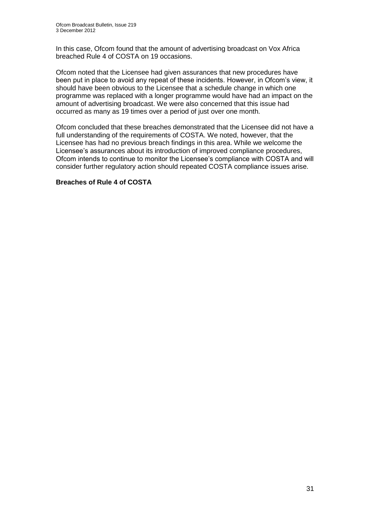In this case, Ofcom found that the amount of advertising broadcast on Vox Africa breached Rule 4 of COSTA on 19 occasions.

Ofcom noted that the Licensee had given assurances that new procedures have been put in place to avoid any repeat of these incidents. However, in Ofcom's view, it should have been obvious to the Licensee that a schedule change in which one programme was replaced with a longer programme would have had an impact on the amount of advertising broadcast. We were also concerned that this issue had occurred as many as 19 times over a period of just over one month.

Ofcom concluded that these breaches demonstrated that the Licensee did not have a full understanding of the requirements of COSTA. We noted, however, that the Licensee has had no previous breach findings in this area. While we welcome the Licensee's assurances about its introduction of improved compliance procedures, Ofcom intends to continue to monitor the Licensee's compliance with COSTA and will consider further regulatory action should repeated COSTA compliance issues arise.

## **Breaches of Rule 4 of COSTA**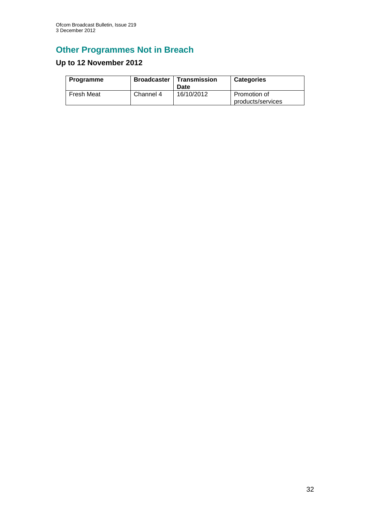# **Other Programmes Not in Breach**

## **Up to 12 November 2012**

| Programme  | <b>Broadcaster</b> | Transmission<br>Date | <b>Categories</b>                 |
|------------|--------------------|----------------------|-----------------------------------|
| Fresh Meat | Channel 4          | 16/10/2012           | Promotion of<br>products/services |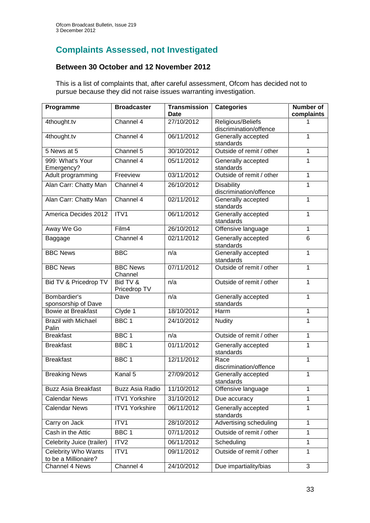## **Complaints Assessed, not Investigated**

## **Between 30 October and 12 November 2012**

This is a list of complaints that, after careful assessment, Ofcom has decided not to pursue because they did not raise issues warranting investigation.

| Programme                                        | <b>Broadcaster</b>     | <b>Transmission</b> | <b>Categories</b>                           | <b>Number of</b> |
|--------------------------------------------------|------------------------|---------------------|---------------------------------------------|------------------|
|                                                  |                        | <b>Date</b>         |                                             | complaints       |
| 4thought.tv                                      | Channel 4              | 27/10/2012          | Religious/Beliefs<br>discrimination/offence |                  |
| 4thought.tv                                      | Channel 4              | 06/11/2012          | Generally accepted                          | 1                |
|                                                  |                        |                     | standards                                   |                  |
| 5 News at 5                                      | Channel 5              | 30/10/2012          | Outside of remit / other                    | $\mathbf 1$      |
| 999: What's Your                                 | Channel 4              | 05/11/2012          | Generally accepted                          | 1                |
| Emergency?                                       |                        |                     | standards                                   |                  |
| Adult programming                                | Freeview               | 03/11/2012          | Outside of remit / other                    | 1                |
| Alan Carr: Chatty Man                            | Channel 4              | 26/10/2012          | <b>Disability</b><br>discrimination/offence | 1                |
| Alan Carr: Chatty Man                            | Channel 4              | 02/11/2012          | Generally accepted                          | $\mathbf 1$      |
|                                                  |                        |                     | standards                                   |                  |
| America Decides 2012                             | ITV1                   | 06/11/2012          | Generally accepted                          | 1                |
|                                                  |                        |                     | standards                                   |                  |
| Away We Go                                       | Film4                  | 26/10/2012          | Offensive language                          | 1                |
| Baggage                                          | Channel 4              | 02/11/2012          | Generally accepted                          | 6                |
| <b>BBC News</b>                                  | <b>BBC</b>             | n/a                 | standards                                   | $\mathbf{1}$     |
|                                                  |                        |                     | Generally accepted<br>standards             |                  |
| <b>BBC News</b>                                  | <b>BBC News</b>        | 07/11/2012          | Outside of remit / other                    | 1                |
|                                                  | Channel                |                     |                                             |                  |
| Bid TV & Pricedrop TV                            | Bid TV &               | n/a                 | Outside of remit / other                    | 1                |
|                                                  | Pricedrop TV           |                     |                                             |                  |
| Bombardier's                                     | Dave                   | n/a                 | Generally accepted                          | 1                |
| sponsorship of Dave<br><b>Bowie at Breakfast</b> | Clyde 1                | 18/10/2012          | standards<br>Harm                           | 1                |
|                                                  |                        |                     |                                             |                  |
| <b>Brazil with Michael</b><br>Palin              | BBC <sub>1</sub>       | 24/10/2012          | Nudity                                      | 1                |
| <b>Breakfast</b>                                 | BBC <sub>1</sub>       | n/a                 | Outside of remit / other                    | 1                |
| <b>Breakfast</b>                                 | BBC <sub>1</sub>       | 01/11/2012          | Generally accepted                          | 1                |
|                                                  |                        |                     | standards                                   |                  |
| <b>Breakfast</b>                                 | BBC <sub>1</sub>       | 12/11/2012          | Race                                        | 1                |
|                                                  |                        |                     | discrimination/offence                      |                  |
| <b>Breaking News</b>                             | Kanal 5                | 27/09/2012          | Generally accepted                          | 1                |
| <b>Buzz Asia Breakfast</b>                       | <b>Buzz Asia Radio</b> | 11/10/2012          | standards<br>Offensive language             | 1                |
|                                                  |                        |                     |                                             |                  |
| <b>Calendar News</b>                             | <b>ITV1 Yorkshire</b>  | 31/10/2012          | Due accuracy                                | 1                |
| <b>Calendar News</b>                             | <b>ITV1 Yorkshire</b>  | 06/11/2012          | Generally accepted<br>standards             | 1                |
| Carry on Jack                                    | ITV1                   | 28/10/2012          | Advertising scheduling                      | 1                |
| Cash in the Attic                                | BBC 1                  | 07/11/2012          | Outside of remit / other                    | 1                |
| Celebrity Juice (trailer)                        | ITV2                   | 06/11/2012          | Scheduling                                  | 1                |
| <b>Celebrity Who Wants</b>                       | ITV1                   | 09/11/2012          | Outside of remit / other                    | 1                |
| to be a Millionaire?                             |                        |                     |                                             |                  |
| Channel 4 News                                   | Channel 4              | 24/10/2012          | Due impartiality/bias                       | 3                |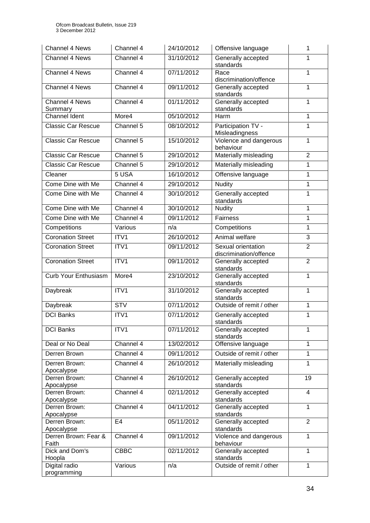| Channel 4 News                | Channel 4      | 24/10/2012 | Offensive language                           | 1              |
|-------------------------------|----------------|------------|----------------------------------------------|----------------|
| Channel 4 News                | Channel 4      | 31/10/2012 | Generally accepted<br>standards              | 1              |
| Channel 4 News                | Channel 4      | 07/11/2012 | Race<br>discrimination/offence               | 1              |
| Channel 4 News                | Channel 4      | 09/11/2012 | Generally accepted<br>standards              | 1              |
| Channel 4 News<br>Summary     | Channel 4      | 01/11/2012 | Generally accepted<br>standards              | 1              |
| <b>Channel Ident</b>          | More4          | 05/10/2012 | Harm                                         | 1              |
| <b>Classic Car Rescue</b>     | Channel 5      | 08/10/2012 | Participation TV -<br>Misleadingness         | 1              |
| <b>Classic Car Rescue</b>     | Channel 5      | 15/10/2012 | Violence and dangerous<br>behaviour          | 1              |
| <b>Classic Car Rescue</b>     | Channel 5      | 29/10/2012 | Materially misleading                        | $\overline{2}$ |
| Classic Car Rescue            | Channel 5      | 29/10/2012 | Materially misleading                        | 1              |
| Cleaner                       | 5 USA          | 16/10/2012 | Offensive language                           | $\mathbf{1}$   |
| Come Dine with Me             | Channel 4      | 29/10/2012 | <b>Nudity</b>                                | $\overline{1}$ |
| Come Dine with Me             | Channel 4      | 30/10/2012 | Generally accepted<br>standards              | 1              |
| Come Dine with Me             | Channel 4      | 30/10/2012 | <b>Nudity</b>                                | 1              |
| Come Dine with Me             | Channel 4      | 09/11/2012 | Fairness                                     | 1              |
| Competitions                  | Various        | n/a        | Competitions                                 | $\mathbf{1}$   |
| <b>Coronation Street</b>      | ITV1           | 26/10/2012 | Animal welfare                               | 3              |
| <b>Coronation Street</b>      | ITV1           | 09/11/2012 | Sexual orientation<br>discrimination/offence | $\overline{2}$ |
| <b>Coronation Street</b>      | ITV1           | 09/11/2012 | Generally accepted<br>standards              | $\overline{2}$ |
| <b>Curb Your Enthusiasm</b>   | More4          | 23/10/2012 | Generally accepted<br>standards              | $\mathbf{1}$   |
| Daybreak                      | ITV1           | 31/10/2012 | Generally accepted<br>standards              | 1              |
| Daybreak                      | <b>STV</b>     | 07/11/2012 | Outside of remit / other                     | 1              |
| <b>DCI Banks</b>              | ITV1           | 07/11/2012 | Generally accepted<br>standards              | 1              |
| <b>DCI Banks</b>              | ITV1           | 07/11/2012 | Generally accepted<br>standards              | 1              |
| Deal or No Deal               | Channel 4      | 13/02/2012 | Offensive language                           | 1              |
| Derren Brown                  | Channel 4      | 09/11/2012 | Outside of remit / other                     | $\mathbf{1}$   |
| Derren Brown:<br>Apocalypse   | Channel 4      | 26/10/2012 | Materially misleading                        | 1              |
| Derren Brown:<br>Apocalypse   | Channel 4      | 26/10/2012 | Generally accepted<br>standards              | 19             |
| Derren Brown:<br>Apocalypse   | Channel 4      | 02/11/2012 | Generally accepted<br>standards              | $\overline{4}$ |
| Derren Brown:<br>Apocalypse   | Channel 4      | 04/11/2012 | Generally accepted<br>standards              | 1              |
| Derren Brown:<br>Apocalypse   | E <sub>4</sub> | 05/11/2012 | Generally accepted<br>standards              | $\overline{2}$ |
| Derren Brown: Fear &<br>Faith | Channel 4      | 09/11/2012 | Violence and dangerous<br>behaviour          | $\mathbf{1}$   |
| Dick and Dom's<br>Hoopla      | <b>CBBC</b>    | 02/11/2012 | Generally accepted<br>standards              | 1              |
| Digital radio<br>programming  | Various        | n/a        | Outside of remit / other                     | $\mathbf{1}$   |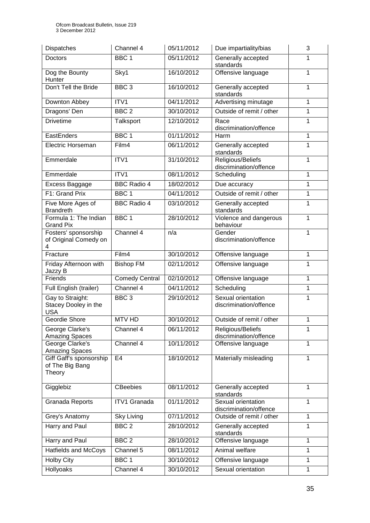| Dispatches                                             | Channel 4           | 05/11/2012 | Due impartiality/bias                        | 3            |
|--------------------------------------------------------|---------------------|------------|----------------------------------------------|--------------|
| Doctors                                                | BBC <sub>1</sub>    | 05/11/2012 | Generally accepted<br>standards              | 1            |
| Dog the Bounty<br>Hunter                               | Sky1                | 16/10/2012 | Offensive language                           | 1            |
| Don't Tell the Bride                                   | BBC <sub>3</sub>    | 16/10/2012 | Generally accepted<br>standards              | 1            |
| Downton Abbey                                          | ITV1                | 04/11/2012 | Advertising minutage                         | 1            |
| Dragons' Den                                           | BBC <sub>2</sub>    | 30/10/2012 | Outside of remit / other                     | 1            |
| <b>Drivetime</b>                                       | Talksport           | 12/10/2012 | Race<br>discrimination/offence               | 1            |
| EastEnders                                             | BBC <sub>1</sub>    | 01/11/2012 | Harm                                         | 1            |
| Electric Horseman                                      | Film4               | 06/11/2012 | Generally accepted<br>standards              | 1            |
| Emmerdale                                              | ITV1                | 31/10/2012 | Religious/Beliefs<br>discrimination/offence  | 1            |
| Emmerdale                                              | ITV <sub>1</sub>    | 08/11/2012 | Scheduling                                   | 1            |
| Excess Baggage                                         | <b>BBC Radio 4</b>  | 18/02/2012 | Due accuracy                                 | $\mathbf{1}$ |
| F1: Grand Prix                                         | BBC <sub>1</sub>    | 04/11/2012 | Outside of remit / other                     | 1            |
| Five More Ages of<br><b>Brandreth</b>                  | <b>BBC Radio 4</b>  | 03/10/2012 | Generally accepted<br>standards              | 1            |
| Formula 1: The Indian<br><b>Grand Pix</b>              | BBC <sub>1</sub>    | 28/10/2012 | Violence and dangerous<br>behaviour          | 1            |
| Fosters' sponsorship<br>of Original Comedy on<br>4     | Channel 4           | n/a        | Gender<br>discrimination/offence             | 1            |
| Fracture                                               | Film4               | 30/10/2012 | Offensive language                           | 1            |
| Friday Afternoon with<br>Jazzy B                       | <b>Bishop FM</b>    | 02/11/2012 | Offensive language                           | 1            |
| Friends                                                | Comedy Central      | 02/10/2012 | Offensive language                           | 1            |
| Full English (trailer)                                 | Channel 4           | 04/11/2012 | Scheduling                                   | $\mathbf{1}$ |
| Gay to Straight:<br>Stacey Dooley in the<br><b>USA</b> | BBC <sub>3</sub>    | 29/10/2012 | Sexual orientation<br>discrimination/offence | 1            |
| Geordie Shore                                          | <b>MTV HD</b>       | 30/10/2012 | Outside of remit / other                     | 1            |
| George Clarke's<br><b>Amazing Spaces</b>               | Channel 4           | 06/11/2012 | Religious/Beliefs<br>discrimination/offence  | 1            |
| George Clarke's<br><b>Amazing Spaces</b>               | Channel 4           | 10/11/2012 | Offensive language                           | 1            |
| Giff Gaff's sponsorship<br>of The Big Bang<br>Theory   | E <sub>4</sub>      | 18/10/2012 | Materially misleading                        | 1            |
| Gigglebiz                                              | <b>CBeebies</b>     | 08/11/2012 | Generally accepted<br>standards              | 1            |
| Granada Reports                                        | <b>ITV1 Granada</b> | 01/11/2012 | Sexual orientation<br>discrimination/offence | 1            |
| Grey's Anatomy                                         | Sky Living          | 07/11/2012 | Outside of remit / other                     | 1            |
| <b>Harry and Paul</b>                                  | BBC <sub>2</sub>    | 28/10/2012 | Generally accepted<br>standards              | 1            |
| Harry and Paul                                         | BBC <sub>2</sub>    | 28/10/2012 | Offensive language                           | 1            |
| <b>Hatfields and McCoys</b>                            | Channel 5           | 08/11/2012 | Animal welfare                               | 1            |
| <b>Holby City</b>                                      | BBC <sub>1</sub>    | 30/10/2012 | Offensive language                           | 1            |
| Hollyoaks                                              | Channel 4           | 30/10/2012 | Sexual orientation                           | 1            |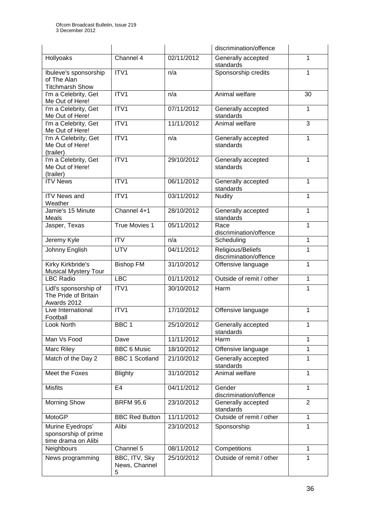|                                                                 |                                     |            | discrimination/offence                      |                |
|-----------------------------------------------------------------|-------------------------------------|------------|---------------------------------------------|----------------|
| Hollyoaks                                                       | Channel 4                           | 02/11/2012 | Generally accepted<br>standards             | 1              |
| Ibuleve's sponsorship<br>of The Alan<br><b>Titchmarsh Show</b>  | ITV1                                | n/a        | Sponsorship credits                         | 1              |
| I'm a Celebrity, Get<br>Me Out of Here!                         | ITV1                                | n/a        | Animal welfare                              | 30             |
| I'm a Celebrity, Get<br>Me Out of Here!                         | ITV1                                | 07/11/2012 | Generally accepted<br>standards             | 1              |
| I'm a Celebrity, Get<br>Me Out of Here!                         | ITV1                                | 11/11/2012 | Animal welfare                              | 3              |
| I'm A Celebrity, Get<br>Me Out of Here!<br>(trailer)            | ITV1                                | n/a        | Generally accepted<br>standards             | 1              |
| I'm a Celebrity, Get<br>Me Out of Here!<br>(trailer)            | ITV1                                | 29/10/2012 | Generally accepted<br>standards             | 1              |
| <b>ITV News</b>                                                 | $\overline{IV1}$                    | 06/11/2012 | Generally accepted<br>standards             | 1              |
| <b>ITV News and</b><br>Weather                                  | ITV1                                | 03/11/2012 | <b>Nudity</b>                               | 1              |
| Jamie's 15 Minute<br>Meals                                      | Channel 4+1                         | 28/10/2012 | Generally accepted<br>standards             | 1              |
| Jasper, Texas                                                   | True Movies 1                       | 05/11/2012 | Race<br>discrimination/offence              | $\mathbf{1}$   |
| Jeremy Kyle                                                     | <b>ITV</b>                          | n/a        | Scheduling                                  | 1              |
| Johnny English                                                  | <b>UTV</b>                          | 04/11/2012 | Religious/Beliefs<br>discrimination/offence | 1              |
| Kirky Kirkbride's<br><b>Musical Mystery Tour</b>                | <b>Bishop FM</b>                    | 31/10/2012 | Offensive language                          | 1              |
| <b>LBC Radio</b>                                                | LBC                                 | 01/11/2012 | Outside of remit / other                    | 1              |
| Lidl's sponsorship of<br>The Pride of Britain<br>Awards 2012    | ITV1                                | 30/10/2012 | Harm                                        | 1              |
| Live International<br>Football                                  | ITV1                                | 17/10/2012 | Offensive language                          | 1              |
| Look North                                                      | BBC 1                               | 25/10/2012 | Generally accepted<br>standards             | 1              |
| Man Vs Food                                                     | Dave                                | 11/11/2012 | Harm                                        | 1              |
| Marc Riley                                                      | <b>BBC 6 Music</b>                  | 18/10/2012 | Offensive language                          | 1              |
| Match of the Day 2                                              | <b>BBC 1 Scotland</b>               | 21/10/2012 | Generally accepted<br>standards             | 1              |
| Meet the Foxes                                                  | <b>Blighty</b>                      | 31/10/2012 | Animal welfare                              | 1              |
| <b>Misfits</b>                                                  | E <sub>4</sub>                      | 04/11/2012 | Gender<br>discrimination/offence            | $\mathbf{1}$   |
| <b>Morning Show</b>                                             | <b>BRFM 95.6</b>                    | 23/10/2012 | Generally accepted<br>standards             | $\overline{2}$ |
| MotoGP                                                          | <b>BBC Red Button</b>               | 11/11/2012 | Outside of remit / other                    | 1              |
| Murine Eyedrops'<br>sponsorship of prime<br>time drama on Alibi | Alibi                               | 23/10/2012 | Sponsorship                                 | $\mathbf{1}$   |
| Neighbours                                                      | Channel 5                           | 08/11/2012 | Competitions                                | 1              |
| News programming                                                | BBC, ITV, Sky<br>News, Channel<br>5 | 25/10/2012 | Outside of remit / other                    | 1              |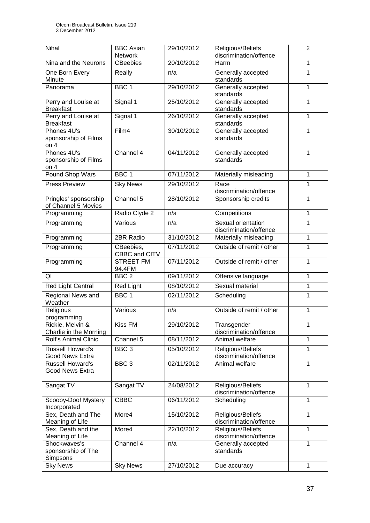| Nihal                                             | <b>BBC Asian</b><br>Network | 29/10/2012 | Religious/Beliefs<br>discrimination/offence  | $\overline{2}$ |
|---------------------------------------------------|-----------------------------|------------|----------------------------------------------|----------------|
| Nina and the Neurons                              | <b>CBeebies</b>             | 20/10/2012 | Harm                                         | 1              |
| One Born Every<br>Minute                          | Really                      | n/a        | Generally accepted<br>standards              | 1              |
| Panorama                                          | BBC <sub>1</sub>            | 29/10/2012 | Generally accepted<br>standards              | 1              |
| Perry and Louise at<br><b>Breakfast</b>           | Signal 1                    | 25/10/2012 | Generally accepted<br>standards              | 1              |
| Perry and Louise at<br><b>Breakfast</b>           | Signal 1                    | 26/10/2012 | Generally accepted<br>standards              | 1              |
| Phones 4U's<br>sponsorship of Films<br>on $4$     | Film4                       | 30/10/2012 | Generally accepted<br>standards              | 1              |
| Phones 4U's<br>sponsorship of Films<br>on $4$     | Channel 4                   | 04/11/2012 | Generally accepted<br>standards              | 1              |
| Pound Shop Wars                                   | BBC <sub>1</sub>            | 07/11/2012 | Materially misleading                        | $\mathbf{1}$   |
| <b>Press Preview</b>                              | <b>Sky News</b>             | 29/10/2012 | Race<br>discrimination/offence               | 1              |
| Pringles' sponsorship<br>of Channel 5 Movies      | Channel 5                   | 28/10/2012 | Sponsorship credits                          | $\mathbf{1}$   |
| Programming                                       | Radio Clyde 2               | n/a        | Competitions                                 | 1              |
| Programming                                       | Various                     | n/a        | Sexual orientation<br>discrimination/offence | 1              |
| Programming                                       | 2BR Radio                   | 31/10/2012 | Materially misleading                        | 1              |
| Programming                                       | CBeebies,<br>CBBC and CITV  | 07/11/2012 | Outside of remit / other                     | $\mathbf{1}$   |
| Programming                                       | <b>STREET FM</b><br>94.4FM  | 07/11/2012 | Outside of remit / other                     | 1              |
| QI                                                | BBC <sub>2</sub>            | 09/11/2012 | Offensive language                           | $\mathbf{1}$   |
| <b>Red Light Central</b>                          | <b>Red Light</b>            | 08/10/2012 | Sexual material                              | 1              |
| Regional News and<br>Weather                      | BBC <sub>1</sub>            | 02/11/2012 | Scheduling                                   | $\mathbf{1}$   |
| Religious<br>programming                          | Various                     | n/a        | Outside of remit / other                     | 1              |
| Rickie, Melvin &<br>Charlie in the Morning        | <b>Kiss FM</b>              | 29/10/2012 | Transgender<br>discrimination/offence        | 1              |
| <b>Rolf's Animal Clinic</b>                       | Channel 5                   | 08/11/2012 | Animal welfare                               | $\mathbf{1}$   |
| <b>Russell Howard's</b><br><b>Good News Extra</b> | $BBC$ 3                     | 05/10/2012 | Religious/Beliefs<br>discrimination/offence  | 1              |
| <b>Russell Howard's</b><br>Good News Extra        | BBC <sub>3</sub>            | 02/11/2012 | Animal welfare                               | 1              |
| Sangat TV                                         | Sangat TV                   | 24/08/2012 | Religious/Beliefs<br>discrimination/offence  | $\mathbf{1}$   |
| Scooby-Doo! Mystery<br>Incorporated               | <b>CBBC</b>                 | 06/11/2012 | Scheduling                                   | 1              |
| Sex, Death and The<br>Meaning of Life             | More4                       | 15/10/2012 | Religious/Beliefs<br>discrimination/offence  | 1              |
| Sex, Death and the<br>Meaning of Life             | More4                       | 22/10/2012 | Religious/Beliefs<br>discrimination/offence  | $\mathbf{1}$   |
| Shockwaves's<br>sponsorship of The<br>Simpsons    | Channel 4                   | n/a        | Generally accepted<br>standards              | $\mathbf{1}$   |
| <b>Sky News</b>                                   | <b>Sky News</b>             | 27/10/2012 | Due accuracy                                 | 1              |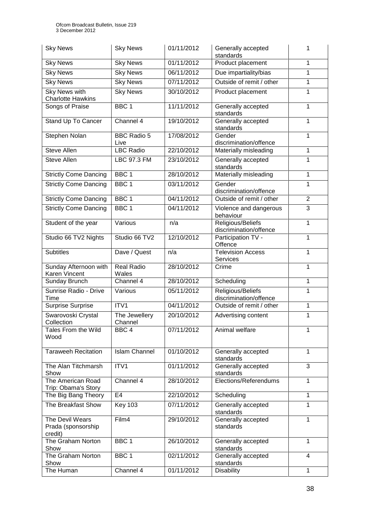| <b>Sky News</b>                                  | <b>Sky News</b>            | 01/11/2012 | Generally accepted<br>standards             | 1              |
|--------------------------------------------------|----------------------------|------------|---------------------------------------------|----------------|
| <b>Sky News</b>                                  | <b>Sky News</b>            | 01/11/2012 | Product placement                           | $\mathbf{1}$   |
| <b>Sky News</b>                                  | <b>Sky News</b>            | 06/11/2012 | Due impartiality/bias                       | $\mathbf{1}$   |
| <b>Sky News</b>                                  | <b>Sky News</b>            | 07/11/2012 | Outside of remit / other                    | $\mathbf{1}$   |
| <b>Sky News with</b><br><b>Charlotte Hawkins</b> | <b>Sky News</b>            | 30/10/2012 | Product placement                           | 1              |
| Songs of Praise                                  | BBC <sub>1</sub>           | 11/11/2012 | Generally accepted<br>standards             | 1              |
| Stand Up To Cancer                               | Channel 4                  | 19/10/2012 | Generally accepted<br>standards             | 1              |
| Stephen Nolan                                    | <b>BBC Radio 5</b><br>Live | 17/08/2012 | Gender<br>discrimination/offence            | $\mathbf{1}$   |
| <b>Steve Allen</b>                               | <b>LBC Radio</b>           | 22/10/2012 | Materially misleading                       | $\mathbf{1}$   |
| <b>Steve Allen</b>                               | LBC 97.3 FM                | 23/10/2012 | Generally accepted<br>standards             | $\mathbf{1}$   |
| <b>Strictly Come Dancing</b>                     | BBC <sub>1</sub>           | 28/10/2012 | Materially misleading                       | $\mathbf{1}$   |
| <b>Strictly Come Dancing</b>                     | BBC <sub>1</sub>           | 03/11/2012 | Gender<br>discrimination/offence            | $\mathbf{1}$   |
| <b>Strictly Come Dancing</b>                     | BBC <sub>1</sub>           | 04/11/2012 | Outside of remit / other                    | $\overline{2}$ |
| <b>Strictly Come Dancing</b>                     | BBC <sub>1</sub>           | 04/11/2012 | Violence and dangerous<br>behaviour         | $\overline{3}$ |
| Student of the year                              | Various                    | n/a        | Religious/Beliefs<br>discrimination/offence | $\mathbf{1}$   |
| Studio 66 TV2 Nights                             | Studio 66 TV2              | 12/10/2012 | Participation TV -<br>Offence               | $\mathbf{1}$   |
| <b>Subtitles</b>                                 | Dave / Quest               | n/a        | <b>Television Access</b><br>Services        | $\mathbf{1}$   |
| Sunday Afternoon with<br>Karen Vincent           | <b>Real Radio</b><br>Wales | 28/10/2012 | Crime                                       | $\mathbf{1}$   |
| Sunday Brunch                                    | Channel 4                  | 28/10/2012 | Scheduling                                  | $\mathbf{1}$   |
| Sunrise Radio - Drive<br>Time                    | Various                    | 05/11/2012 | Religious/Beliefs<br>discrimination/offence | $\mathbf{1}$   |
| <b>Surprise Surprise</b>                         | ITV1                       | 04/11/2012 | Outside of remit / other                    | 1              |
| Swarovoski Crystal<br>Collection                 | The Jewellery<br>Channel   | 20/10/2012 | Advertising content                         | $\mathbf 1$    |
| Tales From the Wild<br>Wood                      | BBC <sub>4</sub>           | 07/11/2012 | Animal welfare                              | 1              |
| <b>Taraweeh Recitation</b>                       | <b>Islam Channel</b>       | 01/10/2012 | Generally accepted<br>standards             | 1              |
| The Alan Titchmarsh<br>Show                      | ITV1                       | 01/11/2012 | Generally accepted<br>standards             | 3              |
| The American Road<br>Trip: Obama's Story         | Channel 4                  | 28/10/2012 | Elections/Referendums                       | $\mathbf{1}$   |
| The Big Bang Theory                              | E <sub>4</sub>             | 22/10/2012 | Scheduling                                  | 1              |
| The Breakfast Show                               | <b>Key 103</b>             | 07/11/2012 | Generally accepted<br>standards             | $\mathbf{1}$   |
| The Devil Wears<br>Prada (sponsorship<br>credit) | Film4                      | 29/10/2012 | Generally accepted<br>standards             | $\mathbf{1}$   |
| The Graham Norton<br>Show                        | BBC <sub>1</sub>           | 26/10/2012 | Generally accepted<br>standards             | $\mathbf{1}$   |
| The Graham Norton<br>Show                        | BBC <sub>1</sub>           | 02/11/2012 | Generally accepted<br>standards             | 4              |
| The Human                                        | Channel 4                  | 01/11/2012 | <b>Disability</b>                           | 1              |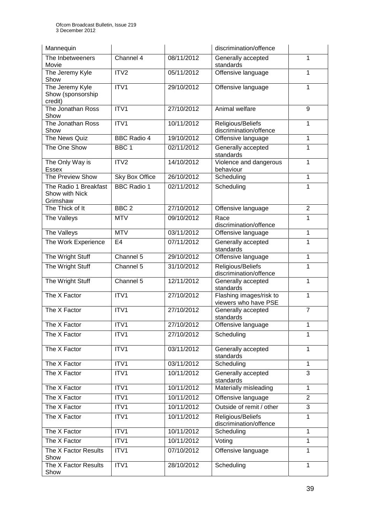| Mannequin                                           |                       |            | discrimination/offence                          |                |
|-----------------------------------------------------|-----------------------|------------|-------------------------------------------------|----------------|
| The Inbetweeners<br>Movie                           | Channel 4             | 08/11/2012 | Generally accepted<br>standards                 | 1              |
| The Jeremy Kyle<br>Show                             | ITV2                  | 05/11/2012 | Offensive language                              | 1              |
| The Jeremy Kyle<br>Show (sponsorship<br>credit)     | ITV1                  | 29/10/2012 | Offensive language                              | 1              |
| The Jonathan Ross<br>Show                           | ITV <sub>1</sub>      | 27/10/2012 | Animal welfare                                  | 9              |
| The Jonathan Ross<br>Show                           | ITV1                  | 10/11/2012 | Religious/Beliefs<br>discrimination/offence     | 1              |
| The News Quiz                                       | <b>BBC Radio 4</b>    | 19/10/2012 | Offensive language                              | 1              |
| The One Show                                        | BBC <sub>1</sub>      | 02/11/2012 | Generally accepted<br>standards                 | 1              |
| The Only Way is<br><b>Essex</b>                     | ITV2                  | 14/10/2012 | Violence and dangerous<br>behaviour             | $\mathbf{1}$   |
| The Preview Show                                    | <b>Sky Box Office</b> | 26/10/2012 | Scheduling                                      | 1              |
| The Radio 1 Breakfast<br>Show with Nick<br>Grimshaw | <b>BBC Radio 1</b>    | 02/11/2012 | Scheduling                                      | $\mathbf{1}$   |
| The Thick of It                                     | BBC <sub>2</sub>      | 27/10/2012 | Offensive language                              | $\overline{2}$ |
| The Valleys                                         | <b>MTV</b>            | 09/10/2012 | Race<br>discrimination/offence                  | 1              |
| The Valleys                                         | <b>MTV</b>            | 03/11/2012 | Offensive language                              | 1              |
| The Work Experience                                 | E <sub>4</sub>        | 07/11/2012 | Generally accepted<br>standards                 | 1              |
| The Wright Stuff                                    | Channel 5             | 29/10/2012 | Offensive language                              | 1              |
| The Wright Stuff                                    | Channel 5             | 31/10/2012 | Religious/Beliefs<br>discrimination/offence     | 1              |
| The Wright Stuff                                    | Channel 5             | 12/11/2012 | Generally accepted<br>standards                 | 1              |
| The X Factor                                        | ITV1                  | 27/10/2012 | Flashing images/risk to<br>viewers who have PSE | $\mathbf{1}$   |
| The X Factor                                        | ITV1                  | 27/10/2012 | Generally accepted<br>standards                 | $\overline{7}$ |
| The X Factor                                        | ITV1                  | 27/10/2012 | Offensive language                              | 1              |
| The X Factor                                        | ITV1                  | 27/10/2012 | Scheduling                                      | 1              |
| The X Factor                                        | ITV1                  | 03/11/2012 | Generally accepted<br>standards                 | 1              |
| The X Factor                                        | ITV1                  | 03/11/2012 | Scheduling                                      | 1              |
| The X Factor                                        | ITV1                  | 10/11/2012 | Generally accepted<br>standards                 | 3              |
| The X Factor                                        | ITV1                  | 10/11/2012 | Materially misleading                           | 1              |
| The X Factor                                        | ITV1                  | 10/11/2012 | Offensive language                              | $\overline{2}$ |
| The X Factor                                        | ITV1                  | 10/11/2012 | Outside of remit / other                        | 3              |
| The X Factor                                        | ITV1                  | 10/11/2012 | Religious/Beliefs<br>discrimination/offence     | 1              |
| The X Factor                                        | ITV1                  | 10/11/2012 | Scheduling                                      | 1              |
| The X Factor                                        | ITV1                  | 10/11/2012 | Voting                                          | 1              |
| The X Factor Results<br>Show                        | ITV1                  | 07/10/2012 | Offensive language                              | $\mathbf 1$    |
| The X Factor Results<br>Show                        | ITV1                  | 28/10/2012 | Scheduling                                      | $\mathbf{1}$   |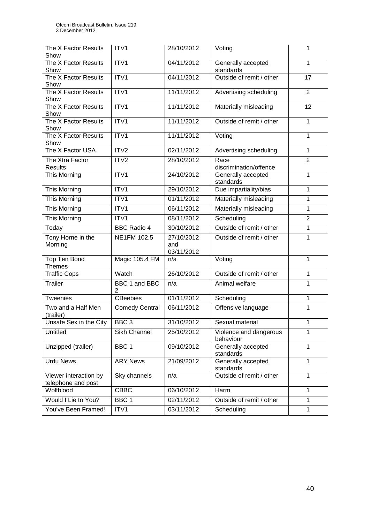| The X Factor Results<br>Show                | ITV1                            | 28/10/2012                      | Voting                              | 1              |
|---------------------------------------------|---------------------------------|---------------------------------|-------------------------------------|----------------|
| The X Factor Results<br>Show                | ITV1                            | 04/11/2012                      | Generally accepted<br>standards     | $\mathbf{1}$   |
| The X Factor Results<br>Show                | ITV1                            | 04/11/2012                      | Outside of remit / other            | 17             |
| The X Factor Results<br>Show                | ITV1                            | 11/11/2012                      | Advertising scheduling              | $\overline{2}$ |
| The X Factor Results<br>Show                | ITV1                            | 11/11/2012                      | Materially misleading               | 12             |
| The X Factor Results<br>Show                | ITV1                            | 11/11/2012                      | Outside of remit / other            | 1              |
| The X Factor Results<br>Show                | ITV1                            | 11/11/2012                      | Voting<br>$\mathbf{1}$              |                |
| The X Factor USA                            | ITV <sub>2</sub>                | 02/11/2012                      | Advertising scheduling              | $\mathbf{1}$   |
| The Xtra Factor<br><b>Results</b>           | ITV2                            | 28/10/2012                      | Race<br>discrimination/offence      | $\overline{2}$ |
| <b>This Morning</b>                         | ITV1                            | 24/10/2012                      | Generally accepted<br>standards     | $\mathbf{1}$   |
| This Morning                                | ITV1                            | 29/10/2012                      | Due impartiality/bias               | 1              |
| <b>This Morning</b>                         | ITV1                            | 01/11/2012                      | Materially misleading               | $\mathbf{1}$   |
| <b>This Morning</b>                         | ITV1                            | 06/11/2012                      | Materially misleading               | $\mathbf{1}$   |
| This Morning                                | ITV1                            | 08/11/2012                      | Scheduling                          | $\overline{2}$ |
| Today                                       | <b>BBC Radio 4</b>              | 30/10/2012                      | Outside of remit / other            | 1              |
| Tony Horne in the<br>Morning                | NE1FM 102.5                     | 27/10/2012<br>and<br>03/11/2012 | Outside of remit / other            | $\overline{1}$ |
| Top Ten Bond<br><b>Themes</b>               | Magic 105.4 FM                  | n/a                             | Voting                              | 1              |
| <b>Traffic Cops</b>                         | Watch                           | 26/10/2012                      | Outside of remit / other            | $\mathbf{1}$   |
| <b>Trailer</b>                              | BBC 1 and BBC<br>$\overline{2}$ | n/a                             | Animal welfare                      | 1              |
| Tweenies                                    | <b>CBeebies</b>                 | 01/11/2012                      | Scheduling                          | $\mathbf{1}$   |
| Two and a Half Men<br>(trailer)             | <b>Comedy Central</b>           | 06/11/2012                      | Offensive language                  | 1              |
| Unsafe Sex in the City                      | BBC <sub>3</sub>                | 31/10/2012                      | Sexual material                     | 1              |
| Untitled                                    | Sikh Channel                    | 25/10/2012                      | Violence and dangerous<br>behaviour | 1              |
| Unzipped (trailer)                          | BBC <sub>1</sub>                | 09/10/2012                      | Generally accepted<br>standards     | $\mathbf{1}$   |
| <b>Urdu News</b>                            | <b>ARY News</b>                 | 21/09/2012                      | Generally accepted<br>standards     | $\mathbf{1}$   |
| Viewer interaction by<br>telephone and post | Sky channels                    | n/a                             | Outside of remit / other            | $\mathbf{1}$   |
| Wolfblood                                   | <b>CBBC</b>                     | 06/10/2012                      | Harm                                | $\mathbf{1}$   |
| Would I Lie to You?                         | BBC 1                           | 02/11/2012                      | Outside of remit / other            | 1              |
| You've Been Framed!                         | ITV1                            | 03/11/2012                      | Scheduling                          | $\mathbf{1}$   |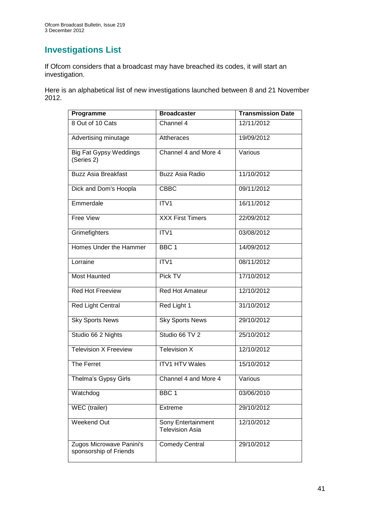# **Investigations List**

If Ofcom considers that a broadcast may have breached its codes, it will start an investigation.

Here is an alphabetical list of new investigations launched between 8 and 21 November 2012.

| Programme                                          | <b>Broadcaster</b>                           | <b>Transmission Date</b> |
|----------------------------------------------------|----------------------------------------------|--------------------------|
| 8 Out of 10 Cats                                   | Channel 4                                    | 12/11/2012               |
| Advertising minutage                               | Attheraces                                   | 19/09/2012               |
| <b>Big Fat Gypsy Weddings</b><br>(Series 2)        | Channel 4 and More 4                         | Various                  |
| <b>Buzz Asia Breakfast</b>                         | <b>Buzz Asia Radio</b>                       | 11/10/2012               |
| Dick and Dom's Hoopla                              | <b>CBBC</b>                                  | 09/11/2012               |
| Emmerdale                                          | ITV1                                         | 16/11/2012               |
| <b>Free View</b>                                   | <b>XXX First Timers</b>                      | 22/09/2012               |
| Grimefighters                                      | ITV1                                         | 03/08/2012               |
| Homes Under the Hammer                             | BBC <sub>1</sub>                             | 14/09/2012               |
| Lorraine                                           | ITV1                                         | 08/11/2012               |
| <b>Most Haunted</b>                                | Pick TV                                      | 17/10/2012               |
| <b>Red Hot Freeview</b>                            | Red Hot Amateur                              | 12/10/2012               |
| Red Light Central                                  | Red Light 1                                  | 31/10/2012               |
| <b>Sky Sports News</b>                             | <b>Sky Sports News</b>                       | 29/10/2012               |
| Studio 66 2 Nights                                 | Studio 66 TV 2                               | 25/10/2012               |
| <b>Television X Freeview</b>                       | Television X                                 | 12/10/2012               |
| The Ferret                                         | <b>ITV1 HTV Wales</b>                        | 15/10/2012               |
| Thelma's Gypsy Girls                               | Channel 4 and More 4                         | Various                  |
| Watchdog                                           | BBC <sub>1</sub>                             | 03/06/2010               |
| WEC (trailer)                                      | Extreme                                      | 29/10/2012               |
| <b>Weekend Out</b>                                 | Sony Entertainment<br><b>Television Asia</b> | 12/10/2012               |
| Zugos Microwave Panini's<br>sponsorship of Friends | <b>Comedy Central</b>                        | 29/10/2012               |